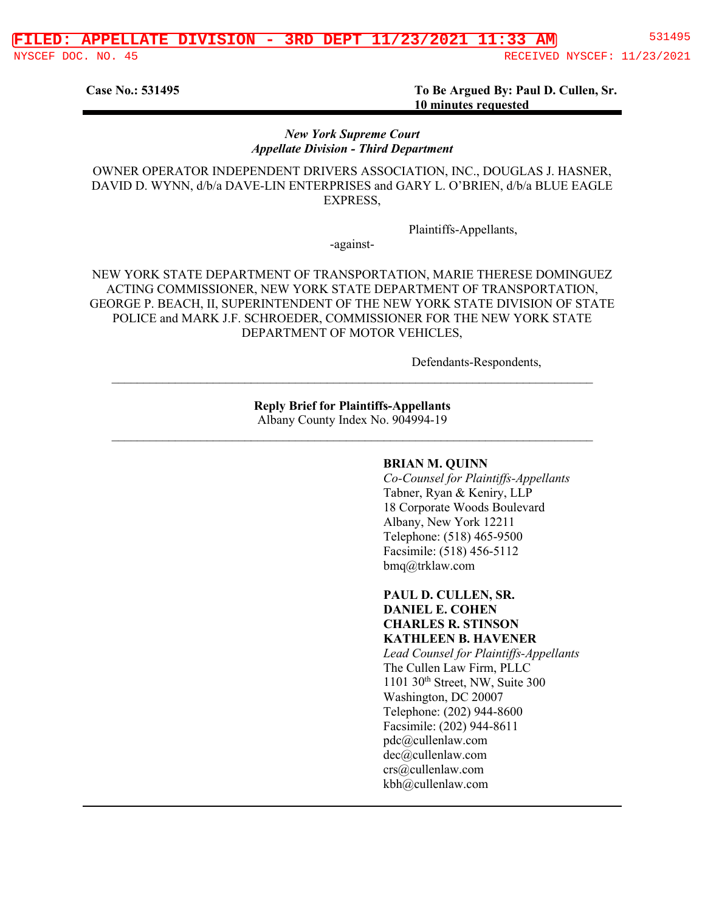**Case No.: 531495 To Be Argued By: Paul D. Cullen, Sr. 10 minutes requested**

#### *New York Supreme Court Appellate Division - Third Department*

OWNER OPERATOR INDEPENDENT DRIVERS ASSOCIATION, INC., DOUGLAS J. HASNER, DAVID D. WYNN, d/b/a DAVE-LIN ENTERPRISES and GARY L. O'BRIEN, d/b/a BLUE EAGLE EXPRESS,

Plaintiffs-Appellants,

-against-

NEW YORK STATE DEPARTMENT OF TRANSPORTATION, MARIE THERESE DOMINGUEZ ACTING COMMISSIONER, NEW YORK STATE DEPARTMENT OF TRANSPORTATION, GEORGE P. BEACH, II, SUPERINTENDENT OF THE NEW YORK STATE DIVISION OF STATE POLICE and MARK J.F. SCHROEDER, COMMISSIONER FOR THE NEW YORK STATE DEPARTMENT OF MOTOR VEHICLES,

Defendants-Respondents,

**Reply Brief for Plaintiffs-Appellants** Albany County Index No. 904994-19

 $\_$  , and the set of the set of the set of the set of the set of the set of the set of the set of the set of the set of the set of the set of the set of the set of the set of the set of the set of the set of the set of th

 $\_$  , and the contribution of the contribution of the contribution of the contribution of  $\mathcal{L}_\text{max}$ 

#### **BRIAN M. QUINN**

*Co-Counsel for Plaintiffs-Appellants* Tabner, Ryan & Keniry, LLP 18 Corporate Woods Boulevard Albany, New York 12211 Telephone: (518) 465-9500 Facsimile: (518) 456-5112 bmq@trklaw.com

**PAUL D. CULLEN, SR. DANIEL E. COHEN CHARLES R. STINSON KATHLEEN B. HAVENER** *Lead Counsel for Plaintiffs-Appellants* The Cullen Law Firm, PLLC 1101 30th Street, NW, Suite 300 Washington, DC 20007 Telephone: (202) 944-8600 Facsimile: (202) 944-8611 pdc@cullenlaw.com dec@cullenlaw.com crs@cullenlaw.com kbh@cullenlaw.com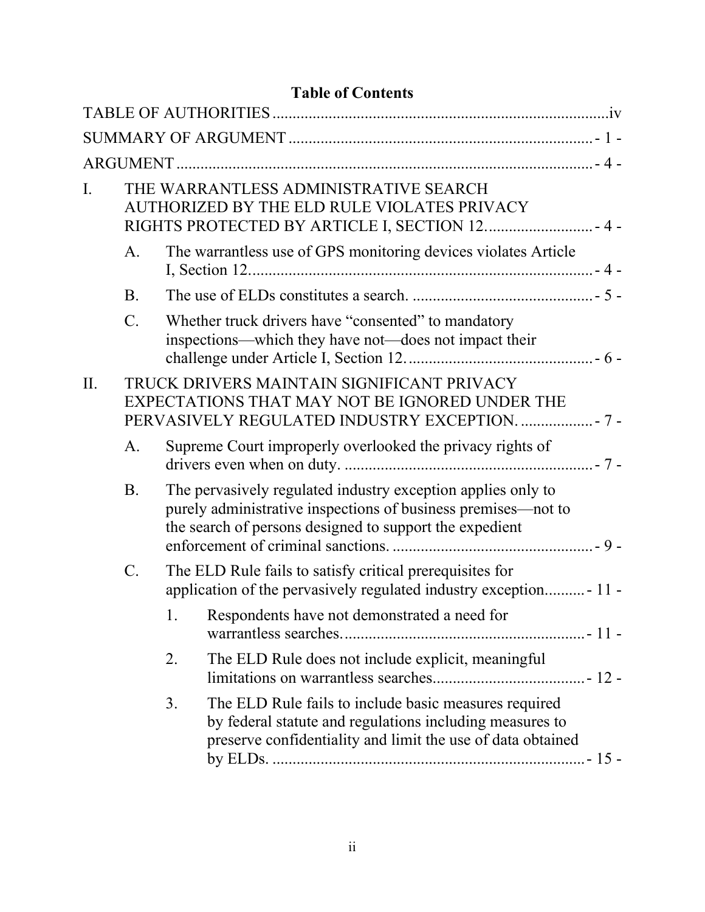| <b>Table of Contents</b> |  |
|--------------------------|--|
|--------------------------|--|

| I.  |                 | THE WARRANTLESS ADMINISTRATIVE SEARCH<br>AUTHORIZED BY THE ELD RULE VIOLATES PRIVACY<br>RIGHTS PROTECTED BY ARTICLE I, SECTION 12 4 -                                                    |  |
|-----|-----------------|------------------------------------------------------------------------------------------------------------------------------------------------------------------------------------------|--|
|     | A.              | The warrantless use of GPS monitoring devices violates Article                                                                                                                           |  |
|     | <b>B.</b>       |                                                                                                                                                                                          |  |
|     | $\mathcal{C}$ . | Whether truck drivers have "consented" to mandatory<br>inspections—which they have not—does not impact their                                                                             |  |
| II. |                 | TRUCK DRIVERS MAINTAIN SIGNIFICANT PRIVACY<br>EXPECTATIONS THAT MAY NOT BE IGNORED UNDER THE<br>PERVASIVELY REGULATED INDUSTRY EXCEPTION.  - 7 -                                         |  |
|     | A.              | Supreme Court improperly overlooked the privacy rights of                                                                                                                                |  |
|     | <b>B.</b>       | The pervasively regulated industry exception applies only to<br>purely administrative inspections of business premises—not to<br>the search of persons designed to support the expedient |  |
|     | $C$ .           | The ELD Rule fails to satisfy critical prerequisites for<br>application of the pervasively regulated industry exception - 11 -                                                           |  |
|     |                 | Respondents have not demonstrated a need for<br>1.                                                                                                                                       |  |
|     |                 | The ELD Rule does not include explicit, meaningful<br>2.                                                                                                                                 |  |
|     |                 | The ELD Rule fails to include basic measures required<br>3.<br>by federal statute and regulations including measures to<br>preserve confidentiality and limit the use of data obtained   |  |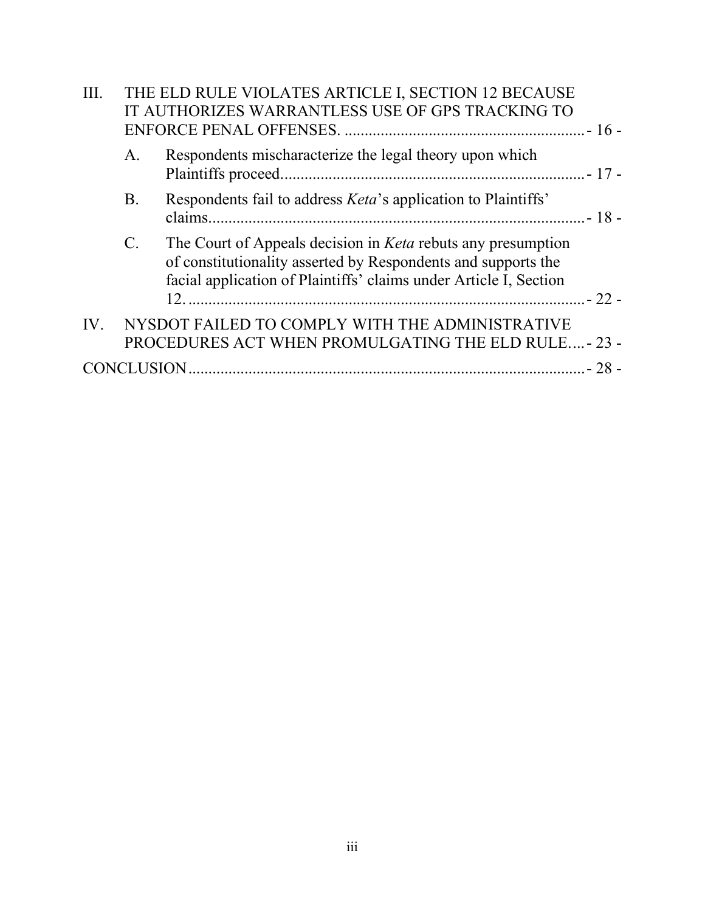| III. | THE ELD RULE VIOLATES ARTICLE I, SECTION 12 BECAUSE<br>IT AUTHORIZES WARRANTLESS USE OF GPS TRACKING TO |                                                                                                                                                                                                           |  |
|------|---------------------------------------------------------------------------------------------------------|-----------------------------------------------------------------------------------------------------------------------------------------------------------------------------------------------------------|--|
|      | A.                                                                                                      | Respondents mischaracterize the legal theory upon which                                                                                                                                                   |  |
|      | <b>B.</b>                                                                                               | Respondents fail to address <i>Keta's</i> application to Plaintiffs'                                                                                                                                      |  |
|      | $\mathcal{C}$ .                                                                                         | The Court of Appeals decision in <i>Keta</i> rebuts any presumption<br>of constitutionality asserted by Respondents and supports the<br>facial application of Plaintiffs' claims under Article I, Section |  |
|      |                                                                                                         | IV. NYSDOT FAILED TO COMPLY WITH THE ADMINISTRATIVE<br>PROCEDURES ACT WHEN PROMULGATING THE ELD RULE - 23 -                                                                                               |  |
|      |                                                                                                         |                                                                                                                                                                                                           |  |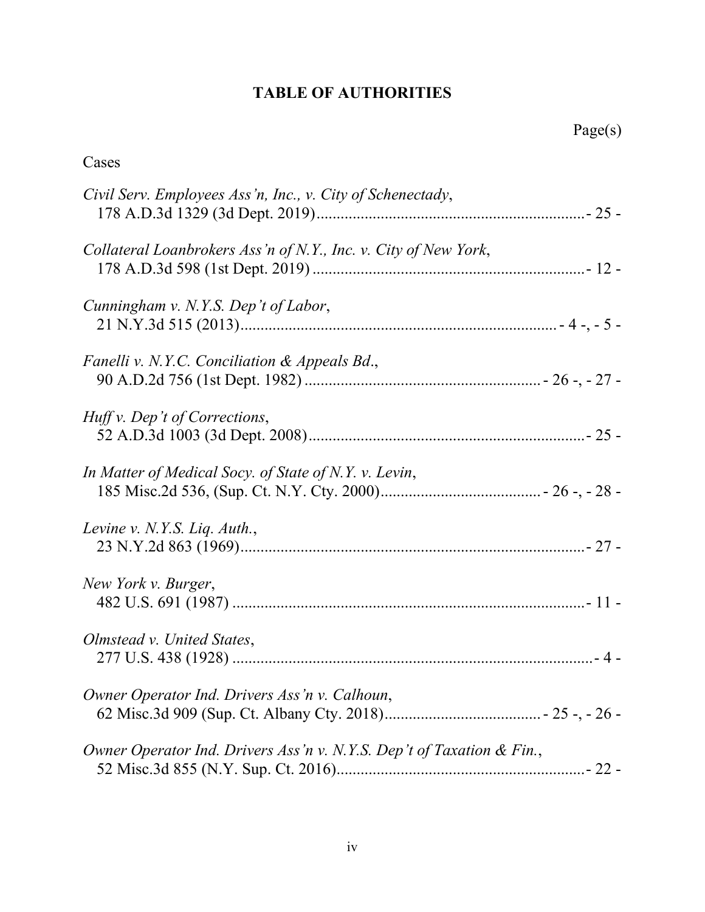# **TABLE OF AUTHORITIES**

<span id="page-3-0"></span>

| Cases                                                                 |
|-----------------------------------------------------------------------|
| Civil Serv. Employees Ass'n, Inc., v. City of Schenectady,            |
| Collateral Loanbrokers Ass'n of N.Y., Inc. v. City of New York,       |
| Cunningham v. N.Y.S. Dep't of Labor,                                  |
| Fanelli v. N.Y.C. Conciliation & Appeals Bd.,                         |
| Huff v. Dep't of Corrections,                                         |
| In Matter of Medical Socy. of State of N.Y. v. Levin,                 |
| Levine v. N.Y.S. Liq. $\text{Aut}h$ .,                                |
| New York v. Burger,                                                   |
| Olmstead v. United States,                                            |
| Owner Operator Ind. Drivers Ass'n v. Calhoun,                         |
| Owner Operator Ind. Drivers Ass'n v. N.Y.S. Dep't of Taxation & Fin., |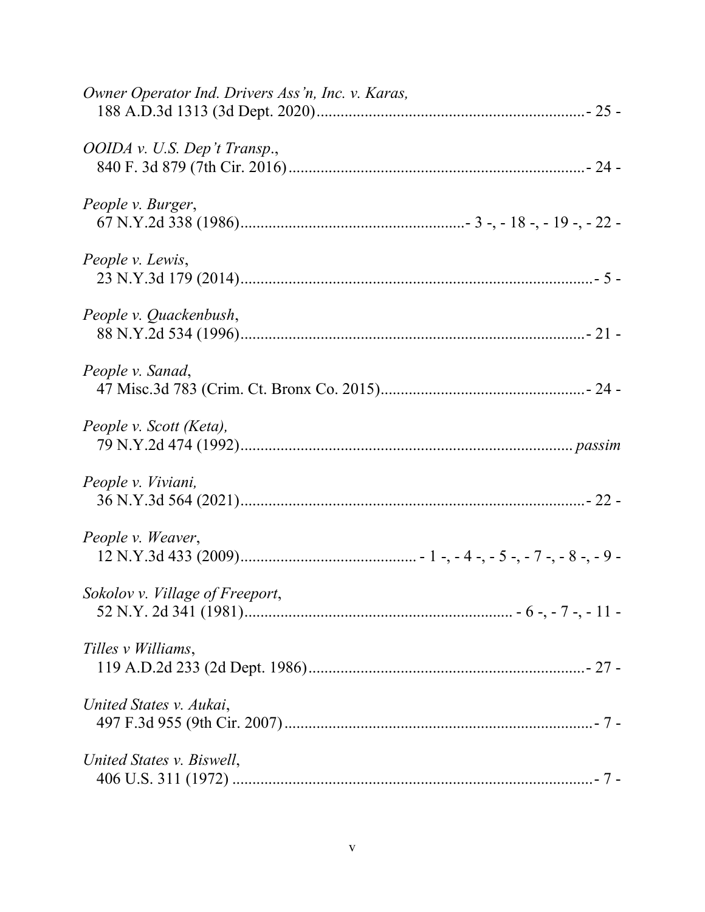| Owner Operator Ind. Drivers Ass'n, Inc. v. Karas, |
|---------------------------------------------------|
| OOIDA v. U.S. Dep't Transp.,                      |
| People v. Burger,                                 |
| People v. Lewis,                                  |
| People v. Quackenbush,                            |
| People v. Sanad,                                  |
| People v. Scott (Keta),                           |
| People v. Viviani,                                |
| People v. Weaver,                                 |
| Sokolov v. Village of Freeport,                   |
| Tilles <i>v</i> Williams,                         |
| United States v. Aukai,                           |
| United States v. Biswell,                         |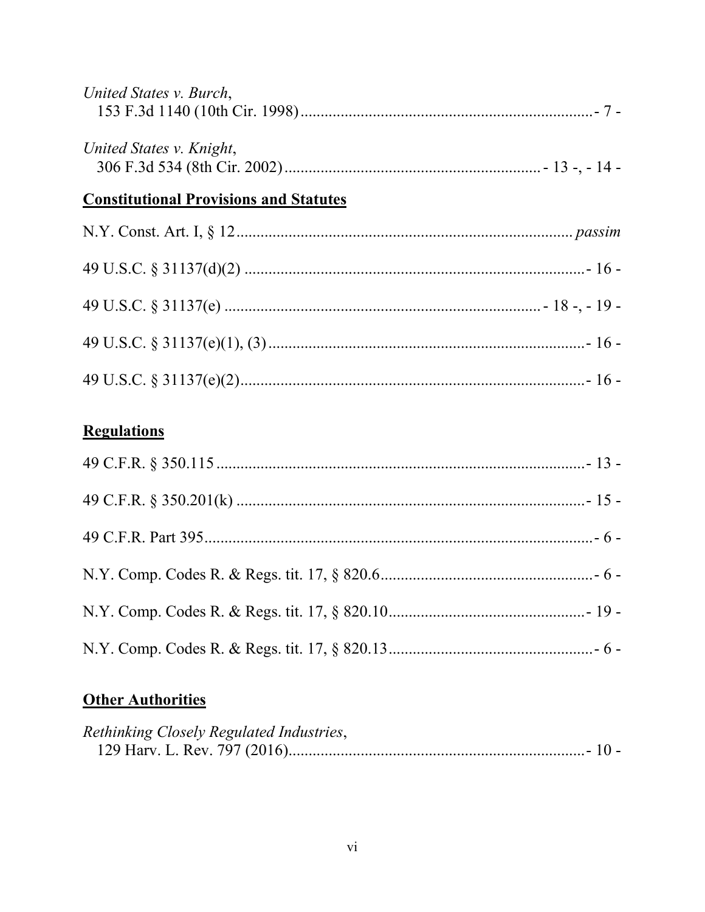| United States v. Burch,                       |  |
|-----------------------------------------------|--|
| United States v. Knight,                      |  |
| <b>Constitutional Provisions and Statutes</b> |  |
|                                               |  |
|                                               |  |
|                                               |  |
|                                               |  |

|--|--|

# **Regulations**

# **Other Authorities**

| Rethinking Closely Regulated Industries, |  |
|------------------------------------------|--|
|                                          |  |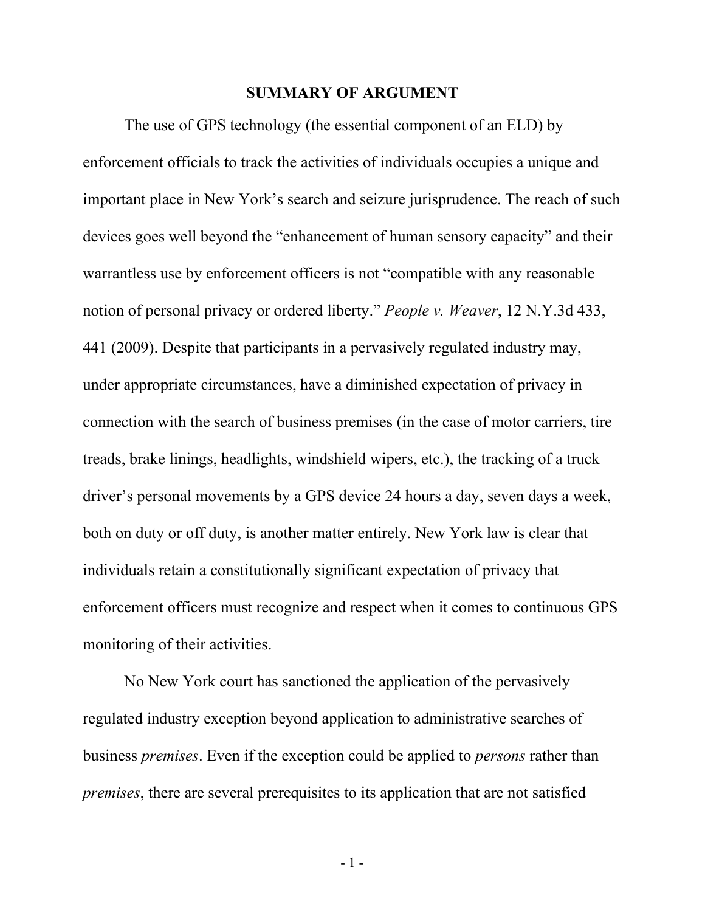#### **SUMMARY OF ARGUMENT**

<span id="page-6-0"></span>The use of GPS technology (the essential component of an ELD) by enforcement officials to track the activities of individuals occupies a unique and important place in New York's search and seizure jurisprudence. The reach of such devices goes well beyond the "enhancement of human sensory capacity" and their warrantless use by enforcement officers is not "compatible with any reasonable notion of personal privacy or ordered liberty." *People v. Weaver*, 12 N.Y.3d 433, 441 (2009). Despite that participants in a pervasively regulated industry may, under appropriate circumstances, have a diminished expectation of privacy in connection with the search of business premises (in the case of motor carriers, tire treads, brake linings, headlights, windshield wipers, etc.), the tracking of a truck driver's personal movements by a GPS device 24 hours a day, seven days a week, both on duty or off duty, is another matter entirely. New York law is clear that individuals retain a constitutionally significant expectation of privacy that enforcement officers must recognize and respect when it comes to continuous GPS monitoring of their activities.

No New York court has sanctioned the application of the pervasively regulated industry exception beyond application to administrative searches of business *premises*. Even if the exception could be applied to *persons* rather than *premises*, there are several prerequisites to its application that are not satisfied

- 1 -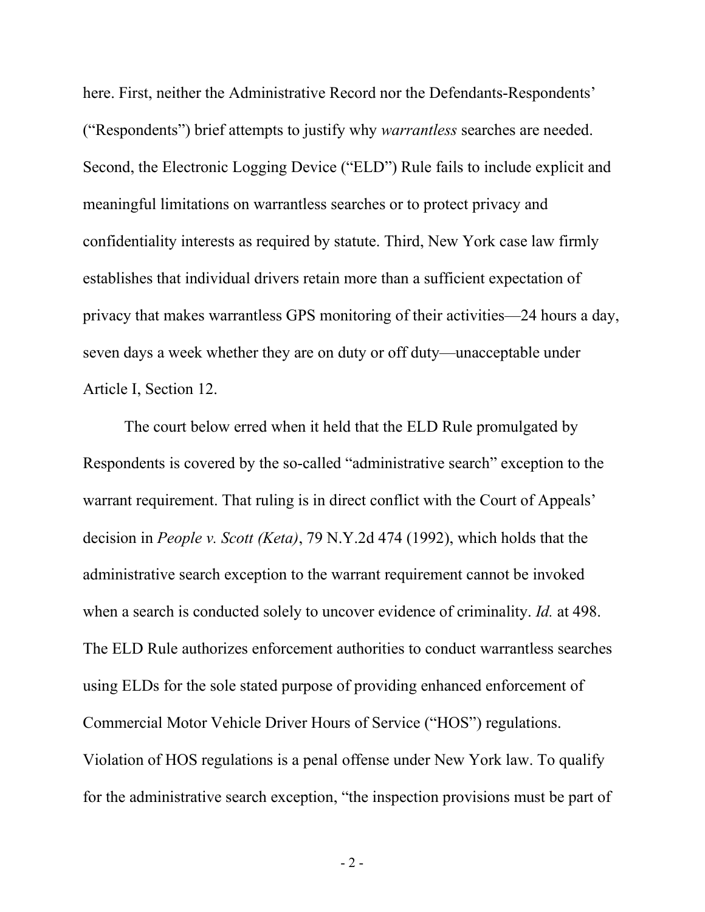here. First, neither the Administrative Record nor the Defendants-Respondents' ("Respondents") brief attempts to justify why *warrantless* searches are needed. Second, the Electronic Logging Device ("ELD") Rule fails to include explicit and meaningful limitations on warrantless searches or to protect privacy and confidentiality interests as required by statute. Third, New York case law firmly establishes that individual drivers retain more than a sufficient expectation of privacy that makes warrantless GPS monitoring of their activities—24 hours a day, seven days a week whether they are on duty or off duty—unacceptable under Article I, Section 12.

The court below erred when it held that the ELD Rule promulgated by Respondents is covered by the so-called "administrative search" exception to the warrant requirement. That ruling is in direct conflict with the Court of Appeals' decision in *People v. Scott (Keta)*, 79 N.Y.2d 474 (1992), which holds that the administrative search exception to the warrant requirement cannot be invoked when a search is conducted solely to uncover evidence of criminality. *Id.* at 498. The ELD Rule authorizes enforcement authorities to conduct warrantless searches using ELDs for the sole stated purpose of providing enhanced enforcement of Commercial Motor Vehicle Driver Hours of Service ("HOS") regulations. Violation of HOS regulations is a penal offense under New York law. To qualify for the administrative search exception, "the inspection provisions must be part of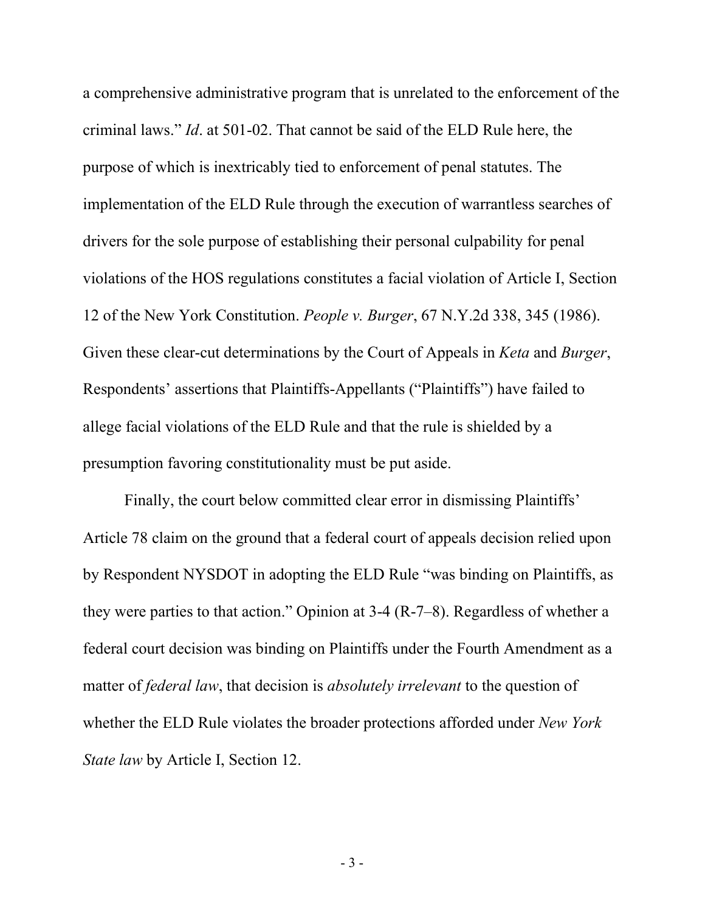a comprehensive administrative program that is unrelated to the enforcement of the criminal laws." *Id*. at 501-02. That cannot be said of the ELD Rule here, the purpose of which is inextricably tied to enforcement of penal statutes. The implementation of the ELD Rule through the execution of warrantless searches of drivers for the sole purpose of establishing their personal culpability for penal violations of the HOS regulations constitutes a facial violation of Article I, Section 12 of the New York Constitution. *People v. Burger*, 67 N.Y.2d 338, 345 (1986). Given these clear-cut determinations by the Court of Appeals in *Keta* and *Burger*, Respondents' assertions that Plaintiffs-Appellants ("Plaintiffs") have failed to allege facial violations of the ELD Rule and that the rule is shielded by a presumption favoring constitutionality must be put aside.

Finally, the court below committed clear error in dismissing Plaintiffs' Article 78 claim on the ground that a federal court of appeals decision relied upon by Respondent NYSDOT in adopting the ELD Rule "was binding on Plaintiffs, as they were parties to that action." Opinion at 3-4 (R-7–8). Regardless of whether a federal court decision was binding on Plaintiffs under the Fourth Amendment as a matter of *federal law*, that decision is *absolutely irrelevant* to the question of whether the ELD Rule violates the broader protections afforded under *New York State law* by Article I, Section 12.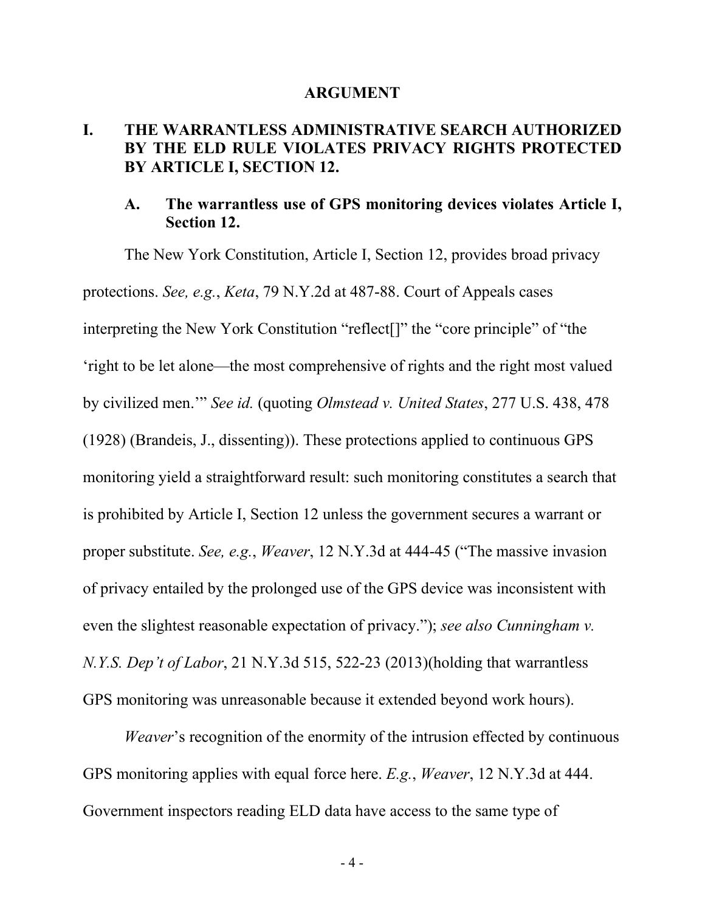#### **ARGUMENT**

## <span id="page-9-1"></span><span id="page-9-0"></span>**I. THE WARRANTLESS ADMINISTRATIVE SEARCH AUTHORIZED BY THE ELD RULE VIOLATES PRIVACY RIGHTS PROTECTED BY ARTICLE I, SECTION 12.**

### <span id="page-9-2"></span>**A. The warrantless use of GPS monitoring devices violates Article I, Section 12.**

The New York Constitution, Article I, Section 12, provides broad privacy protections. *See, e.g.*, *Keta*, 79 N.Y.2d at 487-88. Court of Appeals cases interpreting the New York Constitution "reflect[]" the "core principle" of "the 'right to be let alone—the most comprehensive of rights and the right most valued by civilized men.'" *See id.* (quoting *Olmstead v. United States*, 277 U.S. 438, 478 (1928) (Brandeis, J., dissenting)). These protections applied to continuous GPS monitoring yield a straightforward result: such monitoring constitutes a search that is prohibited by Article I, Section 12 unless the government secures a warrant or proper substitute. *See, e.g.*, *Weaver*, 12 N.Y.3d at 444-45 ("The massive invasion of privacy entailed by the prolonged use of the GPS device was inconsistent with even the slightest reasonable expectation of privacy."); *see also Cunningham v. N.Y.S. Dep't of Labor*, 21 N.Y.3d 515, 522-23 (2013)(holding that warrantless GPS monitoring was unreasonable because it extended beyond work hours).

*Weaver*'s recognition of the enormity of the intrusion effected by continuous GPS monitoring applies with equal force here. *E.g.*, *Weaver*, 12 N.Y.3d at 444. Government inspectors reading ELD data have access to the same type of

- 4 -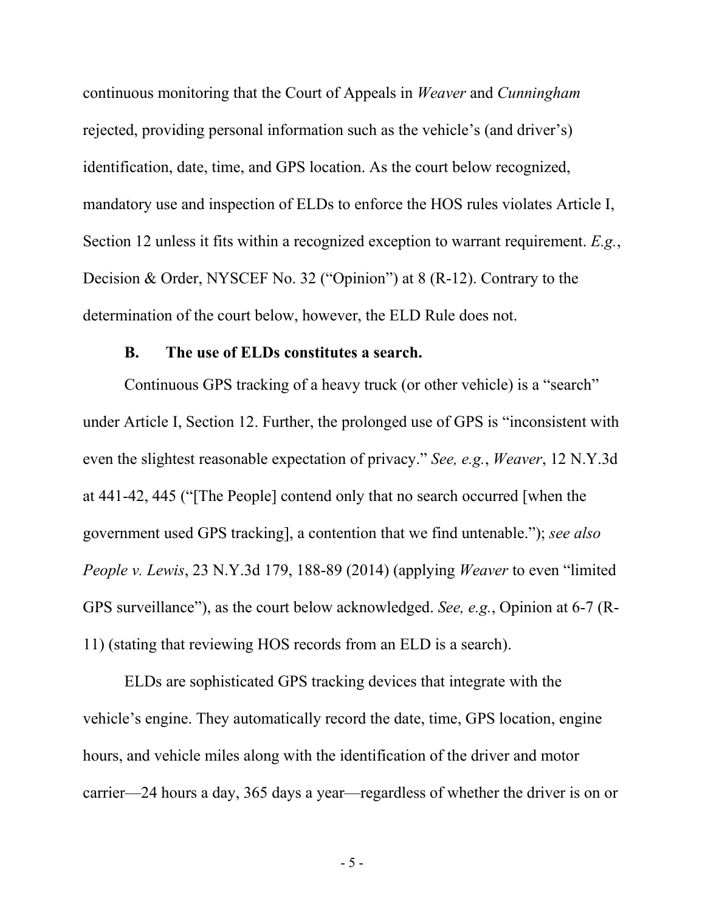continuous monitoring that the Court of Appeals in *Weaver* and *Cunningham* rejected, providing personal information such as the vehicle's (and driver's) identification, date, time, and GPS location. As the court below recognized, mandatory use and inspection of ELDs to enforce the HOS rules violates Article I, Section 12 unless it fits within a recognized exception to warrant requirement. *E.g.*, Decision & Order, NYSCEF No. 32 ("Opinion") at 8 (R-12). Contrary to the determination of the court below, however, the ELD Rule does not.

#### **B. The use of ELDs constitutes a search.**

<span id="page-10-0"></span>Continuous GPS tracking of a heavy truck (or other vehicle) is a "search" under Article I, Section 12. Further, the prolonged use of GPS is "inconsistent with even the slightest reasonable expectation of privacy." *See, e.g.*, *Weaver*, 12 N.Y.3d at 441-42, 445 ("[The People] contend only that no search occurred [when the government used GPS tracking], a contention that we find untenable."); *see also People v. Lewis*, 23 N.Y.3d 179, 188-89 (2014) (applying *Weaver* to even "limited GPS surveillance"), as the court below acknowledged. *See, e.g.*, Opinion at 6-7 (R-11) (stating that reviewing HOS records from an ELD is a search).

ELDs are sophisticated GPS tracking devices that integrate with the vehicle's engine. They automatically record the date, time, GPS location, engine hours, and vehicle miles along with the identification of the driver and motor carrier—24 hours a day, 365 days a year—regardless of whether the driver is on or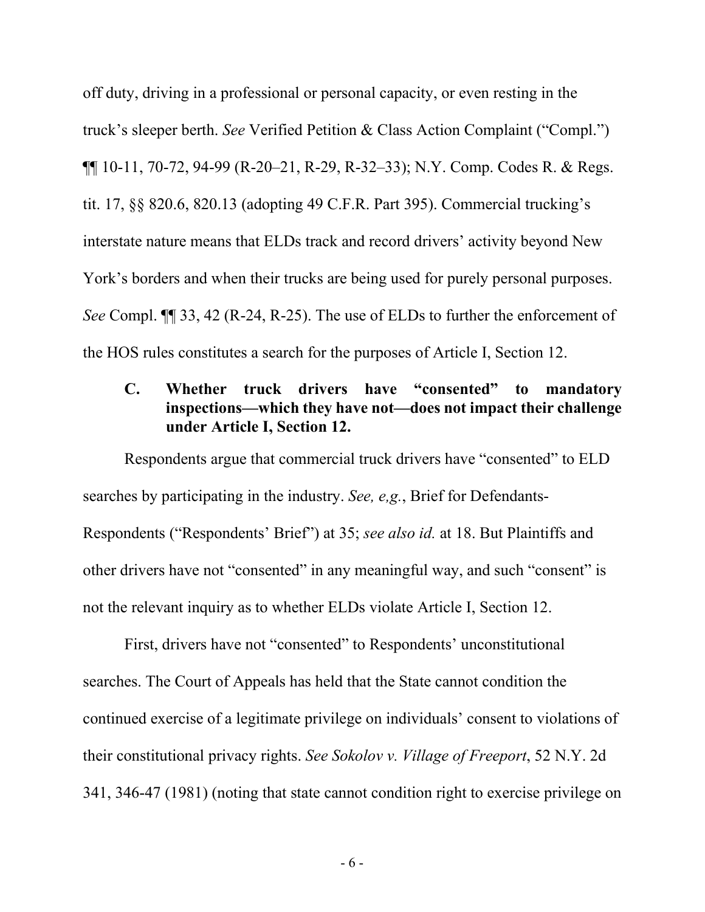off duty, driving in a professional or personal capacity, or even resting in the truck's sleeper berth. *See* Verified Petition & Class Action Complaint ("Compl.") ¶¶ 10-11, 70-72, 94-99 (R-20–21, R-29, R-32–33); N.Y. Comp. Codes R. & Regs. tit. 17, §§ 820.6, 820.13 (adopting 49 C.F.R. Part 395). Commercial trucking's interstate nature means that ELDs track and record drivers' activity beyond New York's borders and when their trucks are being used for purely personal purposes. *See* Compl. ¶¶ 33, 42 (R-24, R-25). The use of ELDs to further the enforcement of the HOS rules constitutes a search for the purposes of Article I, Section 12.

## <span id="page-11-0"></span>**C. Whether truck drivers have "consented" to mandatory inspections—which they have not—does not impact their challenge under Article I, Section 12.**

Respondents argue that commercial truck drivers have "consented" to ELD searches by participating in the industry. *See, e,g.*, Brief for Defendants-Respondents ("Respondents' Brief") at 35; *see also id.* at 18. But Plaintiffs and other drivers have not "consented" in any meaningful way, and such "consent" is not the relevant inquiry as to whether ELDs violate Article I, Section 12.

First, drivers have not "consented" to Respondents' unconstitutional searches. The Court of Appeals has held that the State cannot condition the continued exercise of a legitimate privilege on individuals' consent to violations of their constitutional privacy rights. *See Sokolov v. Village of Freeport*, 52 N.Y. 2d 341, 346-47 (1981) (noting that state cannot condition right to exercise privilege on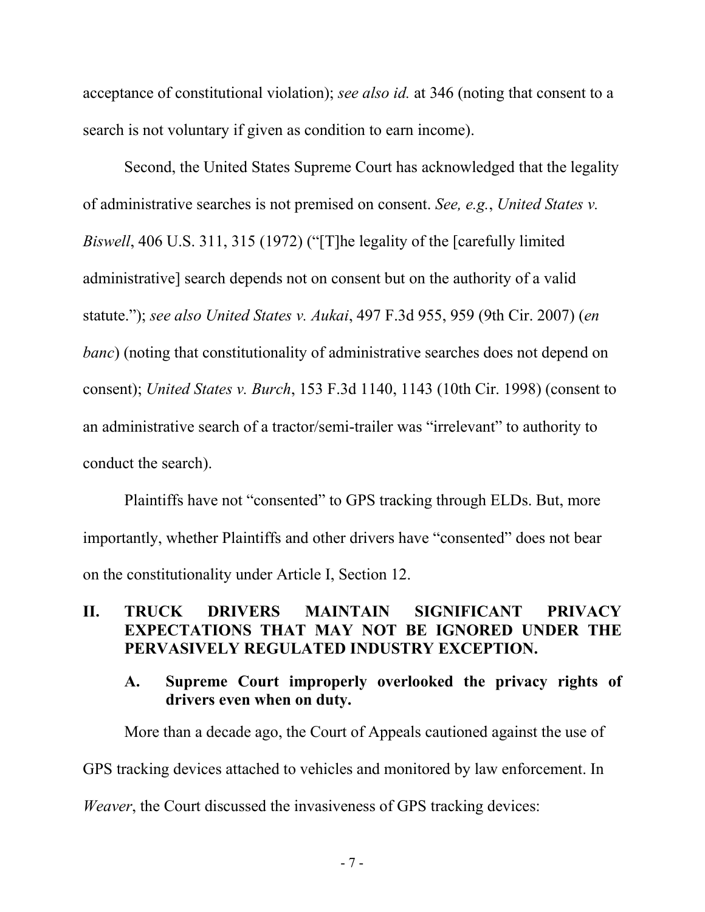acceptance of constitutional violation); *see also id.* at 346 (noting that consent to a search is not voluntary if given as condition to earn income).

Second, the United States Supreme Court has acknowledged that the legality of administrative searches is not premised on consent. *See, e.g.*, *United States v. Biswell*, 406 U.S. 311, 315 (1972) ("[T]he legality of the [carefully limited administrative] search depends not on consent but on the authority of a valid statute."); *see also United States v. Aukai*, 497 F.3d 955, 959 (9th Cir. 2007) (*en banc*) (noting that constitutionality of administrative searches does not depend on consent); *United States v. Burch*, 153 F.3d 1140, 1143 (10th Cir. 1998) (consent to an administrative search of a tractor/semi-trailer was "irrelevant" to authority to conduct the search).

Plaintiffs have not "consented" to GPS tracking through ELDs. But, more importantly, whether Plaintiffs and other drivers have "consented" does not bear on the constitutionality under Article I, Section 12.

## <span id="page-12-0"></span>**II. TRUCK DRIVERS MAINTAIN SIGNIFICANT PRIVACY EXPECTATIONS THAT MAY NOT BE IGNORED UNDER THE PERVASIVELY REGULATED INDUSTRY EXCEPTION.**

### <span id="page-12-1"></span>**A. Supreme Court improperly overlooked the privacy rights of drivers even when on duty.**

More than a decade ago, the Court of Appeals cautioned against the use of GPS tracking devices attached to vehicles and monitored by law enforcement. In *Weaver*, the Court discussed the invasiveness of GPS tracking devices: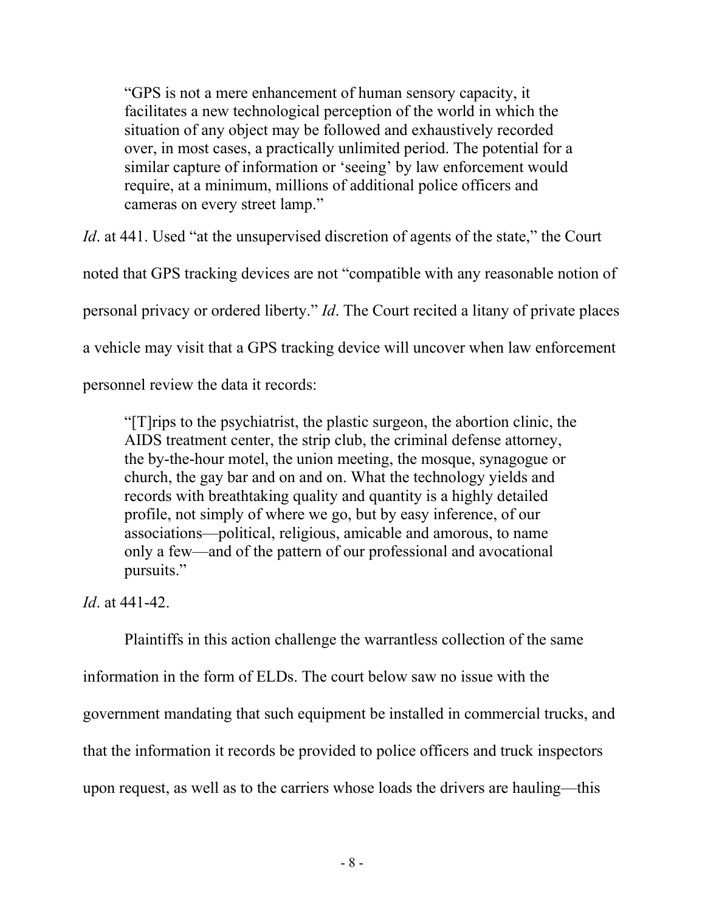"GPS is not a mere enhancement of human sensory capacity, it facilitates a new technological perception of the world in which the situation of any object may be followed and exhaustively recorded over, in most cases, a practically unlimited period. The potential for a similar capture of information or 'seeing' by law enforcement would require, at a minimum, millions of additional police officers and cameras on every street lamp."

*Id.* at 441. Used "at the unsupervised discretion of agents of the state," the Court noted that GPS tracking devices are not "compatible with any reasonable notion of personal privacy or ordered liberty." *Id*. The Court recited a litany of private places a vehicle may visit that a GPS tracking device will uncover when law enforcement

personnel review the data it records:

"[T]rips to the psychiatrist, the plastic surgeon, the abortion clinic, the AIDS treatment center, the strip club, the criminal defense attorney, the by-the-hour motel, the union meeting, the mosque, synagogue or church, the gay bar and on and on. What the technology yields and records with breathtaking quality and quantity is a highly detailed profile, not simply of where we go, but by easy inference, of our associations—political, religious, amicable and amorous, to name only a few—and of the pattern of our professional and avocational pursuits."

*Id*. at 441-42.

Plaintiffs in this action challenge the warrantless collection of the same information in the form of ELDs. The court below saw no issue with the government mandating that such equipment be installed in commercial trucks, and that the information it records be provided to police officers and truck inspectors upon request, as well as to the carriers whose loads the drivers are hauling—this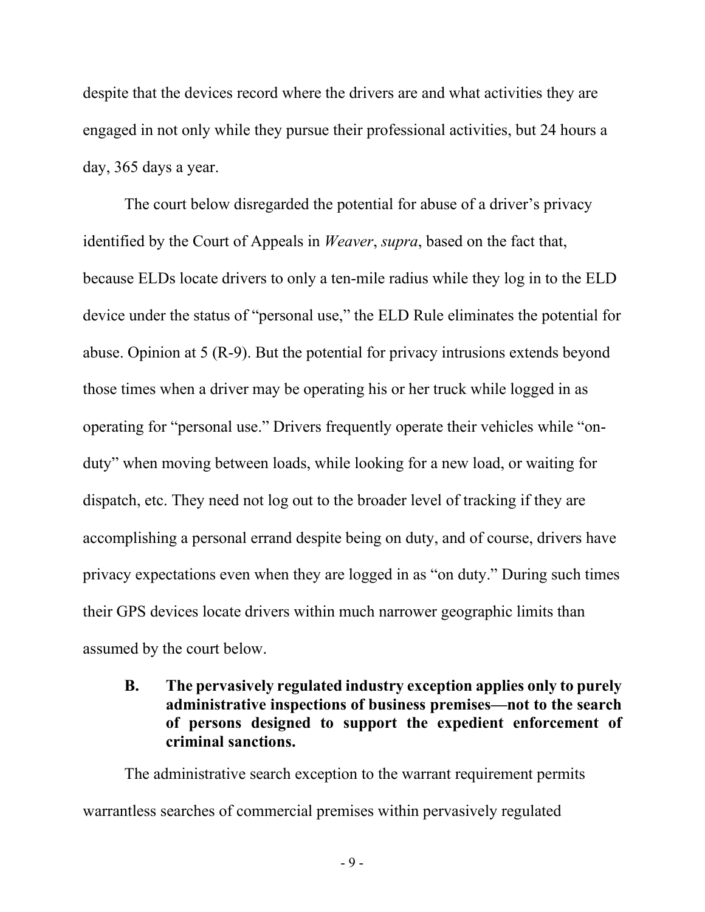despite that the devices record where the drivers are and what activities they are engaged in not only while they pursue their professional activities, but 24 hours a day, 365 days a year.

The court below disregarded the potential for abuse of a driver's privacy identified by the Court of Appeals in *Weaver*, *supra*, based on the fact that, because ELDs locate drivers to only a ten-mile radius while they log in to the ELD device under the status of "personal use," the ELD Rule eliminates the potential for abuse. Opinion at 5 (R-9). But the potential for privacy intrusions extends beyond those times when a driver may be operating his or her truck while logged in as operating for "personal use." Drivers frequently operate their vehicles while "onduty" when moving between loads, while looking for a new load, or waiting for dispatch, etc. They need not log out to the broader level of tracking if they are accomplishing a personal errand despite being on duty, and of course, drivers have privacy expectations even when they are logged in as "on duty." During such times their GPS devices locate drivers within much narrower geographic limits than assumed by the court below.

<span id="page-14-0"></span>**B. The pervasively regulated industry exception applies only to purely administrative inspections of business premises—not to the search of persons designed to support the expedient enforcement of criminal sanctions.**

The administrative search exception to the warrant requirement permits warrantless searches of commercial premises within pervasively regulated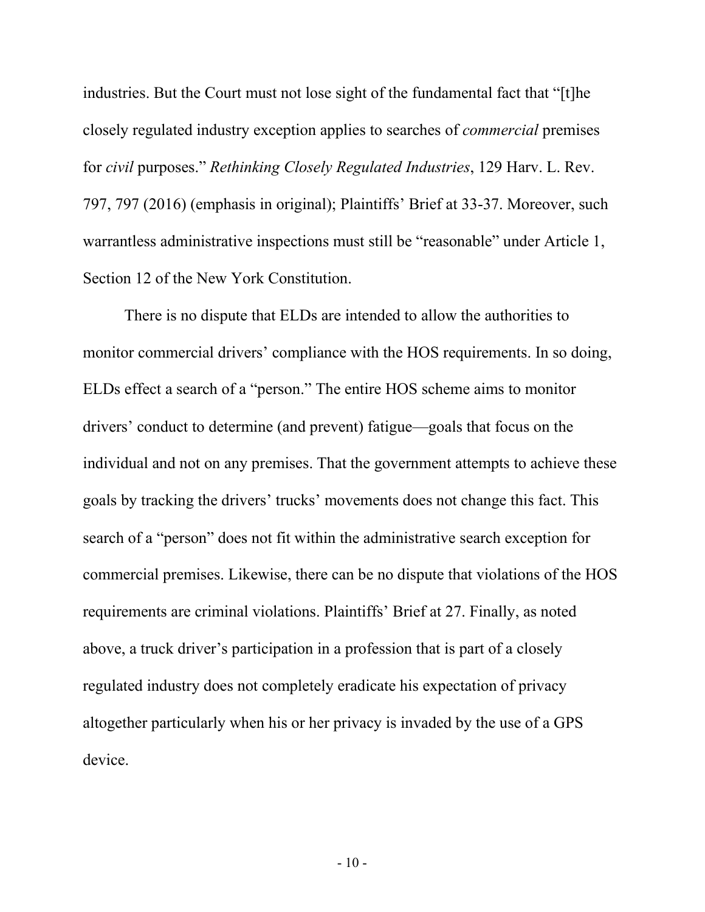industries. But the Court must not lose sight of the fundamental fact that "[t]he closely regulated industry exception applies to searches of *commercial* premises for *civil* purposes." *Rethinking Closely Regulated Industries*, 129 Harv. L. Rev. 797, 797 (2016) (emphasis in original); Plaintiffs' Brief at 33-37. Moreover, such warrantless administrative inspections must still be "reasonable" under Article 1, Section 12 of the New York Constitution.

There is no dispute that ELDs are intended to allow the authorities to monitor commercial drivers' compliance with the HOS requirements. In so doing, ELDs effect a search of a "person." The entire HOS scheme aims to monitor drivers' conduct to determine (and prevent) fatigue—goals that focus on the individual and not on any premises. That the government attempts to achieve these goals by tracking the drivers' trucks' movements does not change this fact. This search of a "person" does not fit within the administrative search exception for commercial premises. Likewise, there can be no dispute that violations of the HOS requirements are criminal violations. Plaintiffs' Brief at 27. Finally, as noted above, a truck driver's participation in a profession that is part of a closely regulated industry does not completely eradicate his expectation of privacy altogether particularly when his or her privacy is invaded by the use of a GPS device.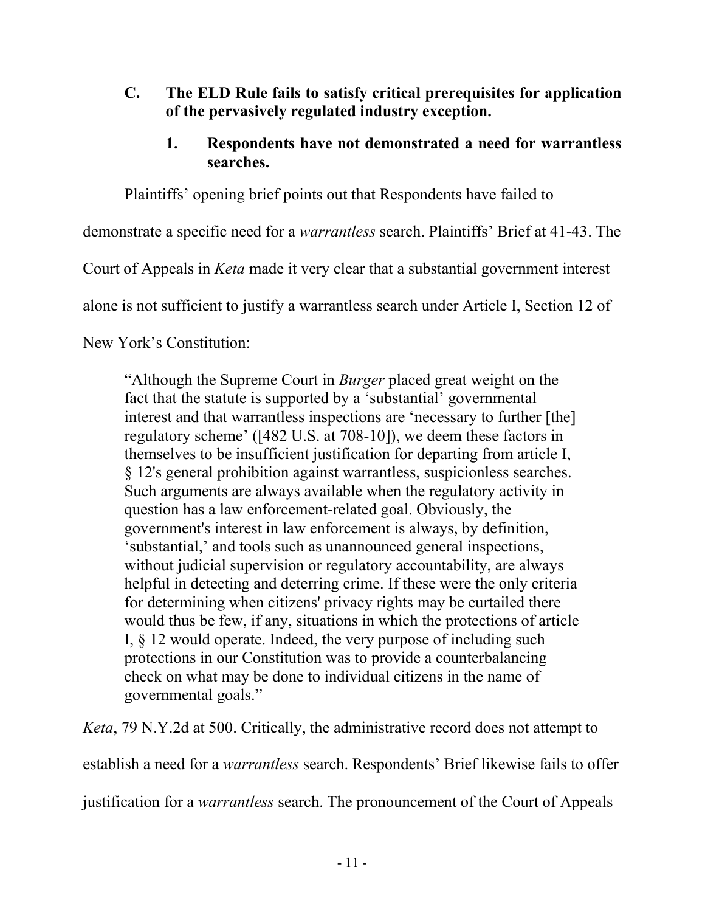- <span id="page-16-1"></span><span id="page-16-0"></span>**C. The ELD Rule fails to satisfy critical prerequisites for application of the pervasively regulated industry exception.**
	- **1. Respondents have not demonstrated a need for warrantless searches.**

Plaintiffs' opening brief points out that Respondents have failed to

demonstrate a specific need for a *warrantless* search. Plaintiffs' Brief at 41-43. The

Court of Appeals in *Keta* made it very clear that a substantial government interest

alone is not sufficient to justify a warrantless search under Article I, Section 12 of

New York's Constitution:

"Although the Supreme Court in *Burger* placed great weight on the fact that the statute is supported by a 'substantial' governmental interest and that warrantless inspections are 'necessary to further [the] regulatory scheme' ([482 U.S. at 708-10]), we deem these factors in themselves to be insufficient justification for departing from article I, § 12's general prohibition against warrantless, suspicionless searches. Such arguments are always available when the regulatory activity in question has a law enforcement-related goal. Obviously, the government's interest in law enforcement is always, by definition, 'substantial,' and tools such as unannounced general inspections, without judicial supervision or regulatory accountability, are always helpful in detecting and deterring crime. If these were the only criteria for determining when citizens' privacy rights may be curtailed there would thus be few, if any, situations in which the protections of article I, § 12 would operate. Indeed, the very purpose of including such protections in our Constitution was to provide a counterbalancing check on what may be done to individual citizens in the name of governmental goals."

*Keta*, 79 N.Y.2d at 500. Critically, the administrative record does not attempt to

establish a need for a *warrantless* search. Respondents' Brief likewise fails to offer

justification for a *warrantless* search. The pronouncement of the Court of Appeals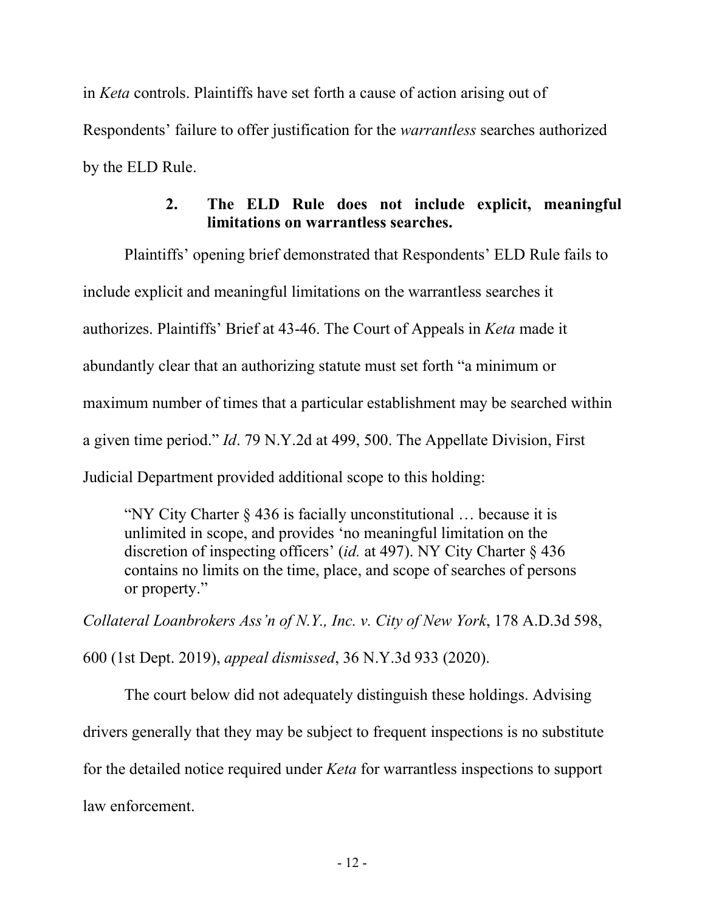in *Keta* controls. Plaintiffs have set forth a cause of action arising out of Respondents' failure to offer justification for the *warrantless* searches authorized by the ELD Rule.

# **2. The ELD Rule does not include explicit, meaningful limitations on warrantless searches.**

<span id="page-17-0"></span>Plaintiffs' opening brief demonstrated that Respondents' ELD Rule fails to include explicit and meaningful limitations on the warrantless searches it authorizes. Plaintiffs' Brief at 43-46. The Court of Appeals in *Keta* made it abundantly clear that an authorizing statute must set forth "a minimum or maximum number of times that a particular establishment may be searched within a given time period." *Id*. 79 N.Y.2d at 499, 500. The Appellate Division, First Judicial Department provided additional scope to this holding:

"NY City Charter  $\S 436$  is facially unconstitutional ... because it is unlimited in scope, and provides 'no meaningful limitation on the discretion of inspecting officers' (*id.* at 497). NY City Charter § 436 contains no limits on the time, place, and scope of searches of persons or property."

*Collateral Loanbrokers Ass'n of N.Y., Inc. v. City of New York*, 178 A.D.3d 598, 600 (1st Dept. 2019), *appeal dismissed*, 36 N.Y.3d 933 (2020).

The court below did not adequately distinguish these holdings. Advising drivers generally that they may be subject to frequent inspections is no substitute for the detailed notice required under *Keta* for warrantless inspections to support law enforcement.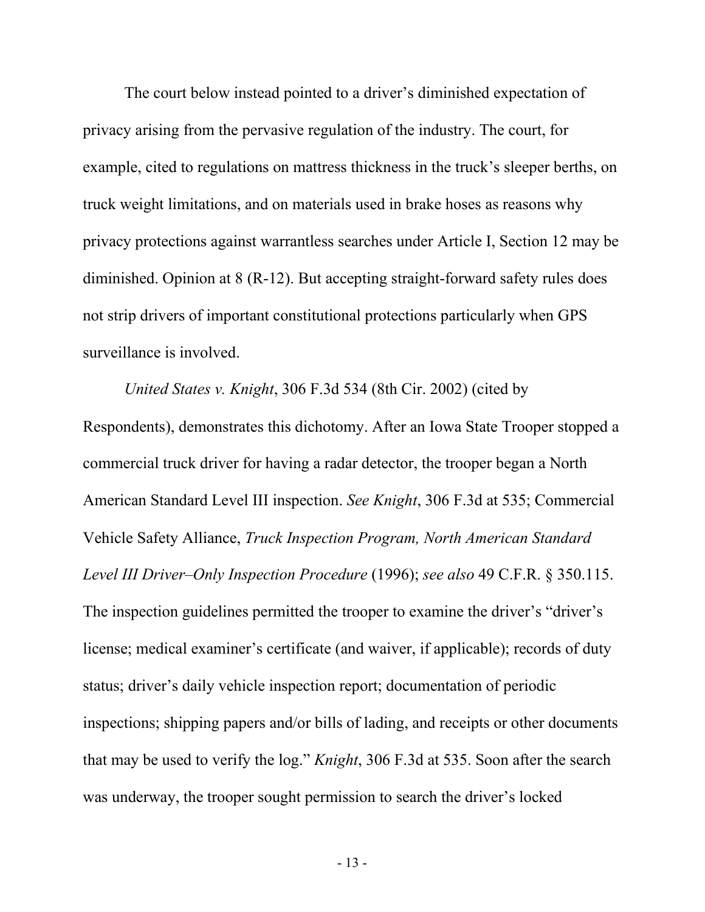The court below instead pointed to a driver's diminished expectation of privacy arising from the pervasive regulation of the industry. The court, for example, cited to regulations on mattress thickness in the truck's sleeper berths, on truck weight limitations, and on materials used in brake hoses as reasons why privacy protections against warrantless searches under Article I, Section 12 may be diminished. Opinion at 8 (R-12). But accepting straight-forward safety rules does not strip drivers of important constitutional protections particularly when GPS surveillance is involved.

*United States v. Knight*, 306 F.3d 534 (8th Cir. 2002) (cited by Respondents), demonstrates this dichotomy. After an Iowa State Trooper stopped a commercial truck driver for having a radar detector, the trooper began a North American Standard Level III inspection. *See Knight*, 306 F.3d at 535; Commercial Vehicle Safety Alliance, *Truck Inspection Program, North American Standard Level III Driver–Only Inspection Procedure* (1996); *see also* 49 C.F.R. § 350.115. The inspection guidelines permitted the trooper to examine the driver's "driver's license; medical examiner's certificate (and waiver, if applicable); records of duty status; driver's daily vehicle inspection report; documentation of periodic inspections; shipping papers and/or bills of lading, and receipts or other documents that may be used to verify the log." *Knight*, 306 F.3d at 535. Soon after the search was underway, the trooper sought permission to search the driver's locked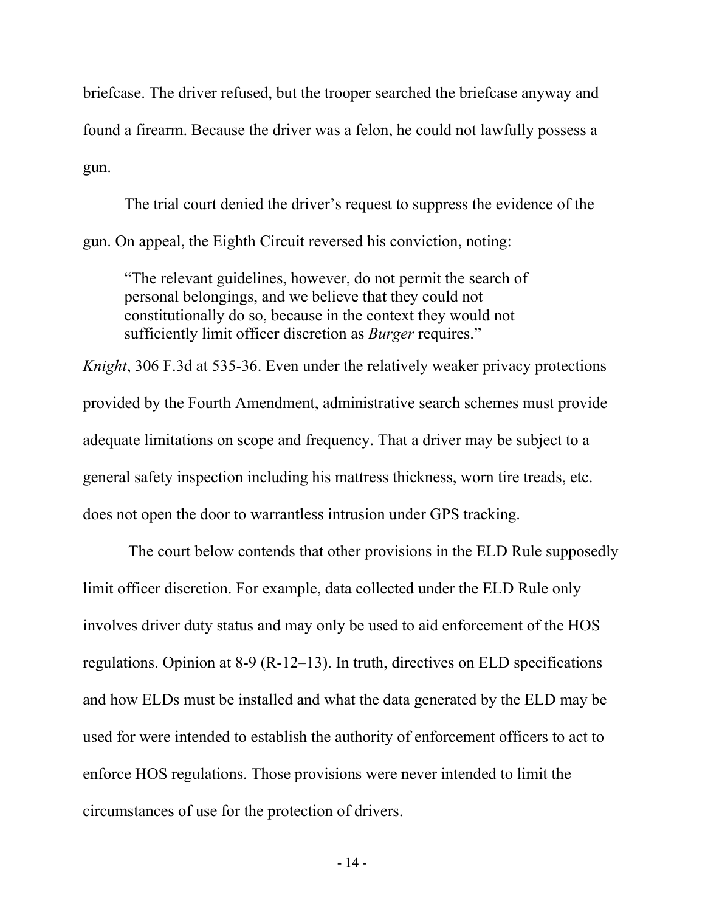briefcase. The driver refused, but the trooper searched the briefcase anyway and found a firearm. Because the driver was a felon, he could not lawfully possess a gun.

The trial court denied the driver's request to suppress the evidence of the gun. On appeal, the Eighth Circuit reversed his conviction, noting:

"The relevant guidelines, however, do not permit the search of personal belongings, and we believe that they could not constitutionally do so, because in the context they would not sufficiently limit officer discretion as *Burger* requires."

*Knight*, 306 F.3d at 535-36. Even under the relatively weaker privacy protections provided by the Fourth Amendment, administrative search schemes must provide adequate limitations on scope and frequency. That a driver may be subject to a general safety inspection including his mattress thickness, worn tire treads, etc. does not open the door to warrantless intrusion under GPS tracking.

The court below contends that other provisions in the ELD Rule supposedly limit officer discretion. For example, data collected under the ELD Rule only involves driver duty status and may only be used to aid enforcement of the HOS regulations. Opinion at 8-9 (R-12–13). In truth, directives on ELD specifications and how ELDs must be installed and what the data generated by the ELD may be used for were intended to establish the authority of enforcement officers to act to enforce HOS regulations. Those provisions were never intended to limit the circumstances of use for the protection of drivers.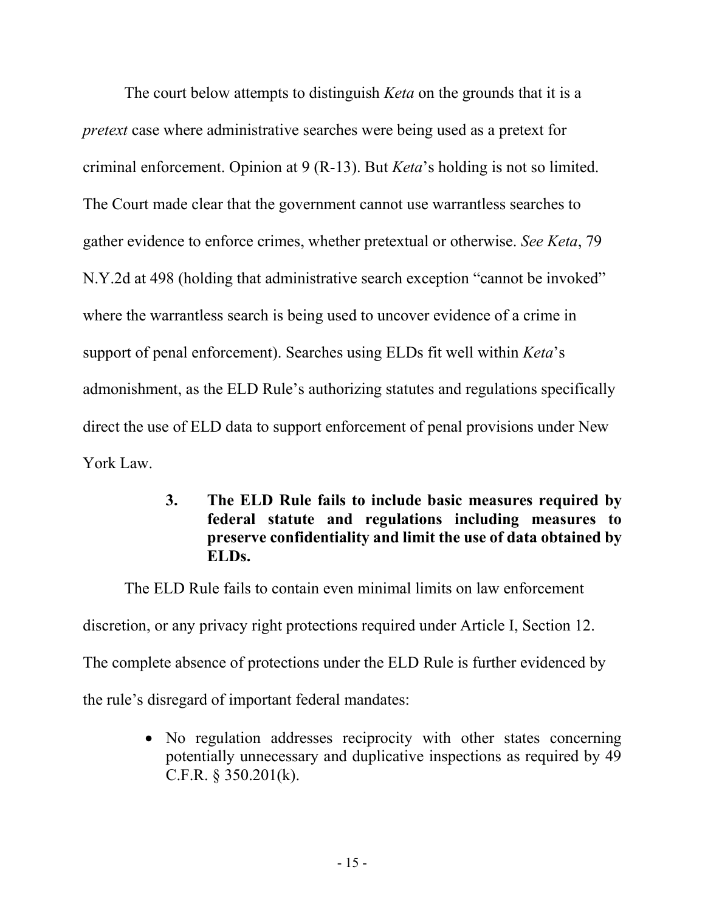The court below attempts to distinguish *Keta* on the grounds that it is a *pretext* case where administrative searches were being used as a pretext for criminal enforcement. Opinion at 9 (R-13). But *Keta*'s holding is not so limited. The Court made clear that the government cannot use warrantless searches to gather evidence to enforce crimes, whether pretextual or otherwise. *See Keta*, 79 N.Y.2d at 498 (holding that administrative search exception "cannot be invoked" where the warrantless search is being used to uncover evidence of a crime in support of penal enforcement). Searches using ELDs fit well within *Keta*'s admonishment, as the ELD Rule's authorizing statutes and regulations specifically direct the use of ELD data to support enforcement of penal provisions under New York Law.

> <span id="page-20-0"></span>**3. The ELD Rule fails to include basic measures required by federal statute and regulations including measures to preserve confidentiality and limit the use of data obtained by ELDs.**

The ELD Rule fails to contain even minimal limits on law enforcement discretion, or any privacy right protections required under Article I, Section 12. The complete absence of protections under the ELD Rule is further evidenced by the rule's disregard of important federal mandates:

> • No regulation addresses reciprocity with other states concerning potentially unnecessary and duplicative inspections as required by 49 C.F.R. § 350.201(k).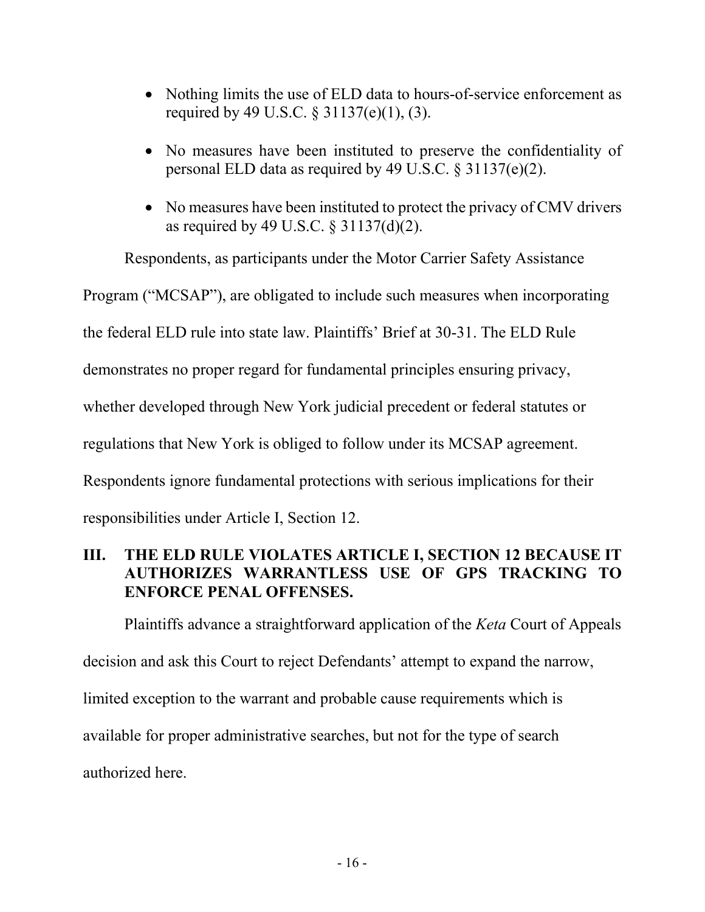- Nothing limits the use of ELD data to hours-of-service enforcement as required by 49 U.S.C. § 31137(e)(1), (3).
- No measures have been instituted to preserve the confidentiality of personal ELD data as required by 49 U.S.C. § 31137(e)(2).
- No measures have been instituted to protect the privacy of CMV drivers as required by 49 U.S.C. § 31137(d)(2).

Respondents, as participants under the Motor Carrier Safety Assistance

Program ("MCSAP"), are obligated to include such measures when incorporating

the federal ELD rule into state law. Plaintiffs' Brief at 30-31. The ELD Rule

demonstrates no proper regard for fundamental principles ensuring privacy,

whether developed through New York judicial precedent or federal statutes or

regulations that New York is obliged to follow under its MCSAP agreement.

Respondents ignore fundamental protections with serious implications for their

responsibilities under Article I, Section 12.

## <span id="page-21-0"></span>**III. THE ELD RULE VIOLATES ARTICLE I, SECTION 12 BECAUSE IT AUTHORIZES WARRANTLESS USE OF GPS TRACKING TO ENFORCE PENAL OFFENSES.**

Plaintiffs advance a straightforward application of the *Keta* Court of Appeals decision and ask this Court to reject Defendants' attempt to expand the narrow, limited exception to the warrant and probable cause requirements which is available for proper administrative searches, but not for the type of search authorized here.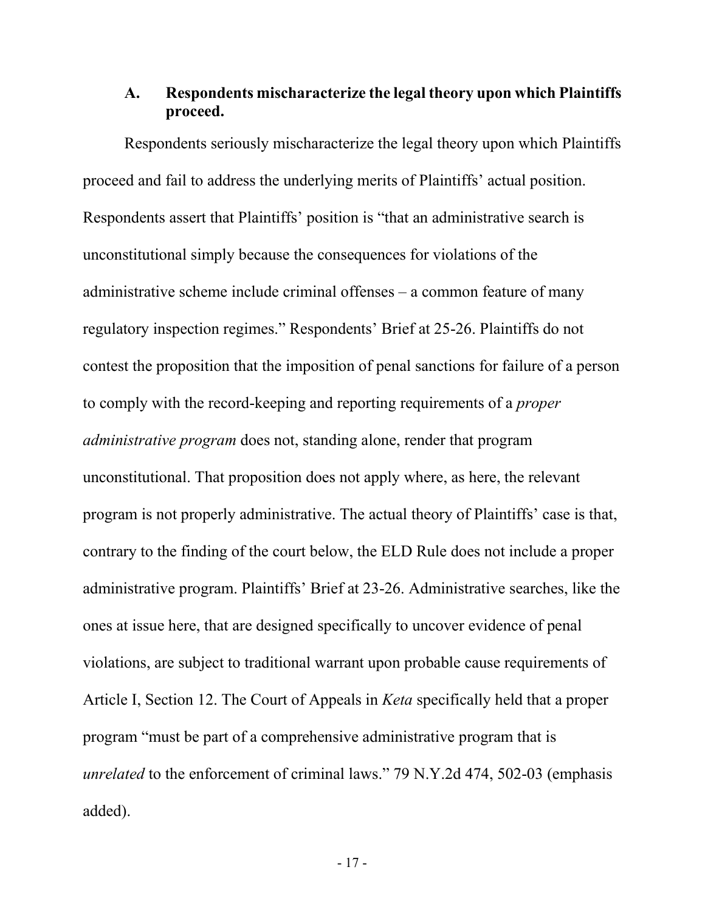## <span id="page-22-0"></span>**A. Respondents mischaracterize the legal theory upon which Plaintiffs proceed.**

Respondents seriously mischaracterize the legal theory upon which Plaintiffs proceed and fail to address the underlying merits of Plaintiffs' actual position. Respondents assert that Plaintiffs' position is "that an administrative search is unconstitutional simply because the consequences for violations of the administrative scheme include criminal offenses – a common feature of many regulatory inspection regimes." Respondents' Brief at 25-26. Plaintiffs do not contest the proposition that the imposition of penal sanctions for failure of a person to comply with the record-keeping and reporting requirements of a *proper administrative program* does not, standing alone, render that program unconstitutional. That proposition does not apply where, as here, the relevant program is not properly administrative. The actual theory of Plaintiffs' case is that, contrary to the finding of the court below, the ELD Rule does not include a proper administrative program. Plaintiffs' Brief at 23-26. Administrative searches, like the ones at issue here, that are designed specifically to uncover evidence of penal violations, are subject to traditional warrant upon probable cause requirements of Article I, Section 12. The Court of Appeals in *Keta* specifically held that a proper program "must be part of a comprehensive administrative program that is *unrelated* to the enforcement of criminal laws." 79 N.Y.2d 474, 502-03 (emphasis added).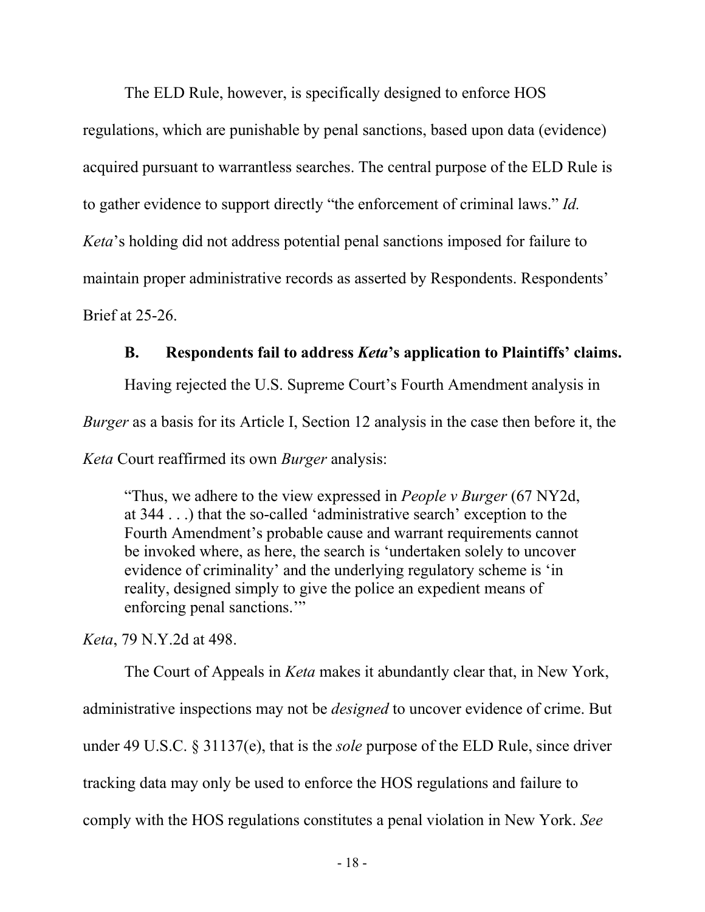The ELD Rule, however, is specifically designed to enforce HOS

regulations, which are punishable by penal sanctions, based upon data (evidence) acquired pursuant to warrantless searches. The central purpose of the ELD Rule is to gather evidence to support directly "the enforcement of criminal laws." *Id. Keta*'s holding did not address potential penal sanctions imposed for failure to maintain proper administrative records as asserted by Respondents. Respondents' Brief at 25-26.

### **B. Respondents fail to address** *Keta***'s application to Plaintiffs' claims.**

<span id="page-23-0"></span>Having rejected the U.S. Supreme Court's Fourth Amendment analysis in *Burger* as a basis for its Article I, Section 12 analysis in the case then before it, the *Keta* Court reaffirmed its own *Burger* analysis:

"Thus, we adhere to the view expressed in *People v Burger* (67 NY2d, at 344 . . .) that the so-called 'administrative search' exception to the Fourth Amendment's probable cause and warrant requirements cannot be invoked where, as here, the search is 'undertaken solely to uncover evidence of criminality' and the underlying regulatory scheme is 'in reality, designed simply to give the police an expedient means of enforcing penal sanctions.'"

*Keta*, 79 N.Y.2d at 498.

The Court of Appeals in *Keta* makes it abundantly clear that, in New York, administrative inspections may not be *designed* to uncover evidence of crime. But under 49 U.S.C. § 31137(e), that is the *sole* purpose of the ELD Rule, since driver tracking data may only be used to enforce the HOS regulations and failure to comply with the HOS regulations constitutes a penal violation in New York. *See*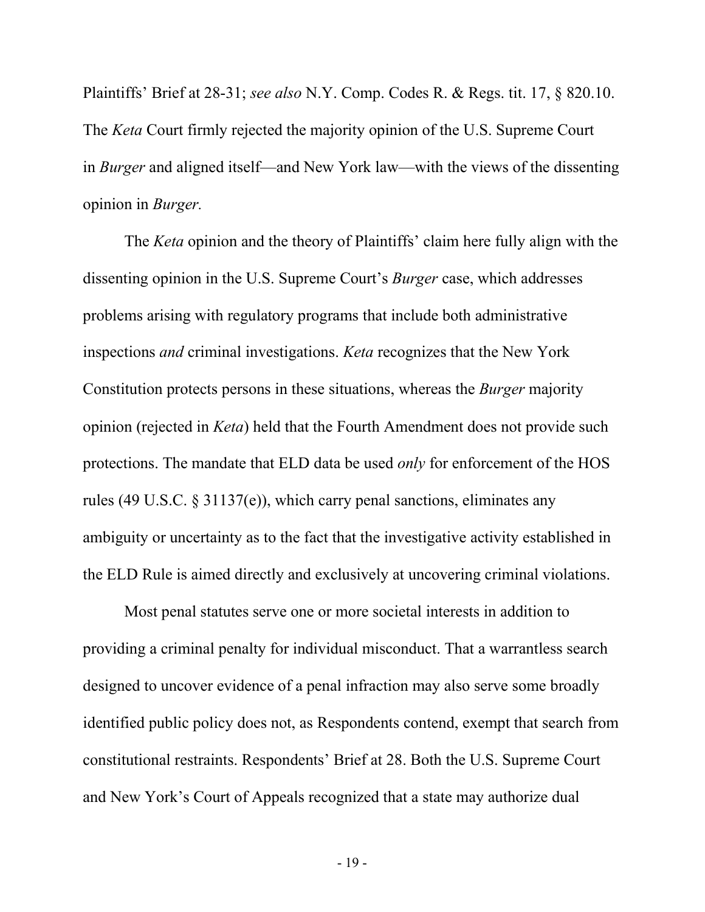Plaintiffs' Brief at 28-31; *see also* N.Y. Comp. Codes R. & Regs. tit. 17, § 820.10. The *Keta* Court firmly rejected the majority opinion of the U.S. Supreme Court in *Burger* and aligned itself—and New York law—with the views of the dissenting opinion in *Burger.*

The *Keta* opinion and the theory of Plaintiffs' claim here fully align with the dissenting opinion in the U.S. Supreme Court's *Burger* case, which addresses problems arising with regulatory programs that include both administrative inspections *and* criminal investigations. *Keta* recognizes that the New York Constitution protects persons in these situations, whereas the *Burger* majority opinion (rejected in *Keta*) held that the Fourth Amendment does not provide such protections. The mandate that ELD data be used *only* for enforcement of the HOS rules (49 U.S.C. § 31137(e)), which carry penal sanctions, eliminates any ambiguity or uncertainty as to the fact that the investigative activity established in the ELD Rule is aimed directly and exclusively at uncovering criminal violations.

Most penal statutes serve one or more societal interests in addition to providing a criminal penalty for individual misconduct. That a warrantless search designed to uncover evidence of a penal infraction may also serve some broadly identified public policy does not, as Respondents contend, exempt that search from constitutional restraints. Respondents' Brief at 28. Both the U.S. Supreme Court and New York's Court of Appeals recognized that a state may authorize dual

- 19 -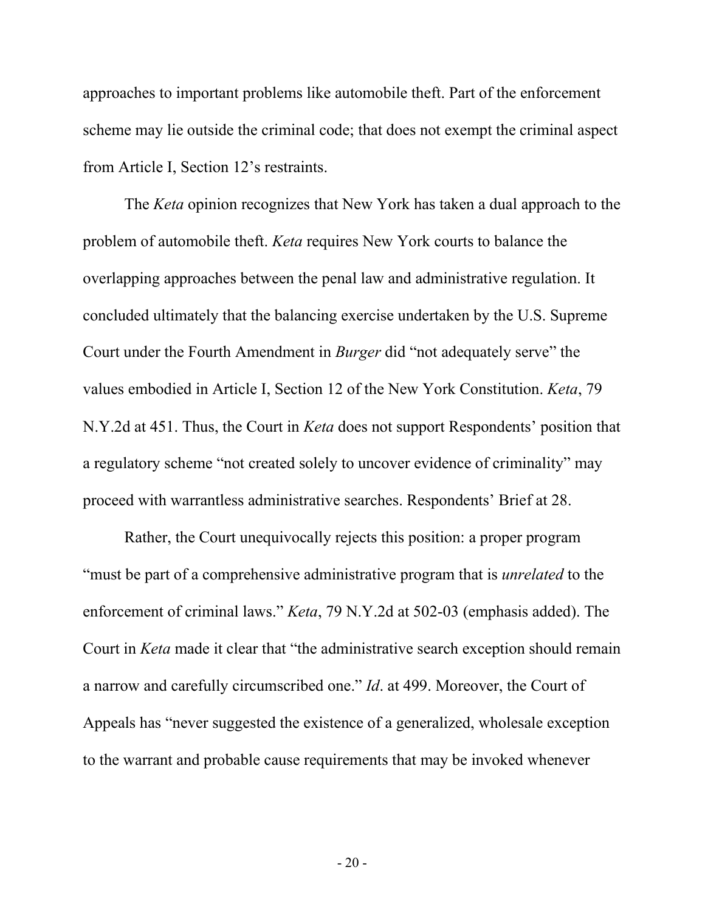approaches to important problems like automobile theft. Part of the enforcement scheme may lie outside the criminal code; that does not exempt the criminal aspect from Article I, Section 12's restraints.

The *Keta* opinion recognizes that New York has taken a dual approach to the problem of automobile theft. *Keta* requires New York courts to balance the overlapping approaches between the penal law and administrative regulation. It concluded ultimately that the balancing exercise undertaken by the U.S. Supreme Court under the Fourth Amendment in *Burger* did "not adequately serve" the values embodied in Article I, Section 12 of the New York Constitution. *Keta*, 79 N.Y.2d at 451. Thus, the Court in *Keta* does not support Respondents' position that a regulatory scheme "not created solely to uncover evidence of criminality" may proceed with warrantless administrative searches. Respondents' Brief at 28.

Rather, the Court unequivocally rejects this position: a proper program "must be part of a comprehensive administrative program that is *unrelated* to the enforcement of criminal laws." *Keta*, 79 N.Y.2d at 502-03 (emphasis added). The Court in *Keta* made it clear that "the administrative search exception should remain a narrow and carefully circumscribed one." *Id*. at 499. Moreover, the Court of Appeals has "never suggested the existence of a generalized, wholesale exception to the warrant and probable cause requirements that may be invoked whenever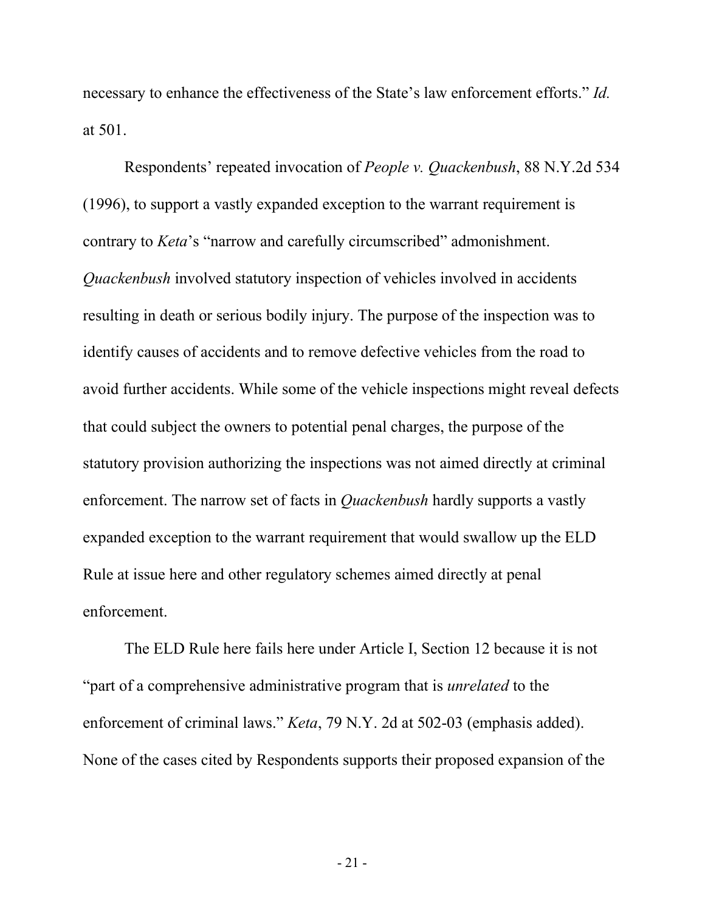necessary to enhance the effectiveness of the State's law enforcement efforts." *Id.* at 501.

Respondents' repeated invocation of *People v. Quackenbush*, 88 N.Y.2d 534 (1996), to support a vastly expanded exception to the warrant requirement is contrary to *Keta*'s "narrow and carefully circumscribed" admonishment. *Quackenbush* involved statutory inspection of vehicles involved in accidents resulting in death or serious bodily injury. The purpose of the inspection was to identify causes of accidents and to remove defective vehicles from the road to avoid further accidents. While some of the vehicle inspections might reveal defects that could subject the owners to potential penal charges, the purpose of the statutory provision authorizing the inspections was not aimed directly at criminal enforcement. The narrow set of facts in *Quackenbush* hardly supports a vastly expanded exception to the warrant requirement that would swallow up the ELD Rule at issue here and other regulatory schemes aimed directly at penal enforcement.

 The ELD Rule here fails here under Article I, Section 12 because it is not "part of a comprehensive administrative program that is *unrelated* to the enforcement of criminal laws." *Keta*, 79 N.Y. 2d at 502-03 (emphasis added). None of the cases cited by Respondents supports their proposed expansion of the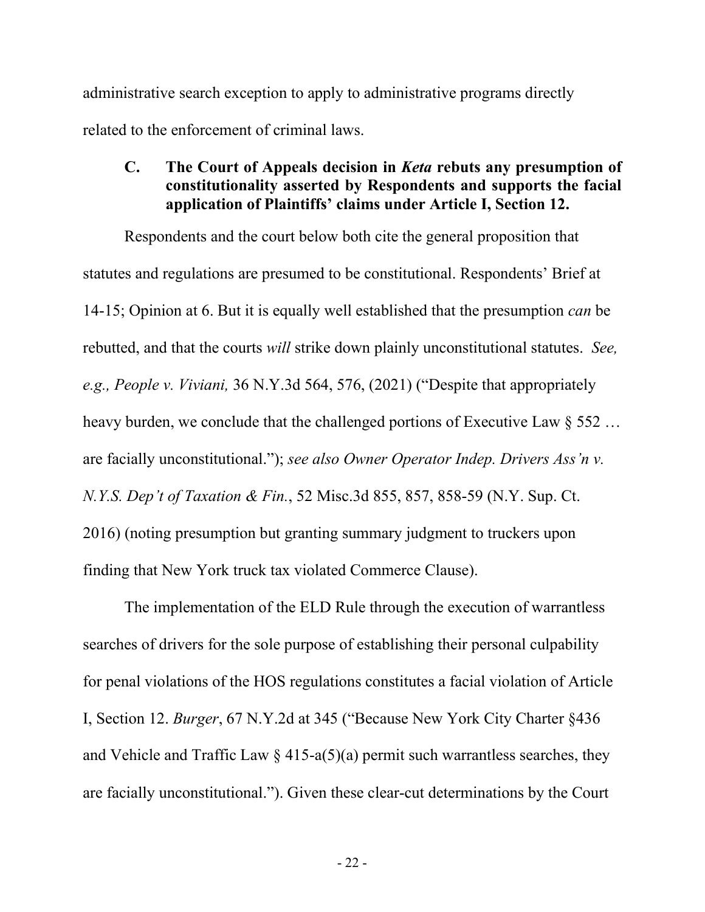administrative search exception to apply to administrative programs directly related to the enforcement of criminal laws.

#### <span id="page-27-0"></span>**C. The Court of Appeals decision in** *Keta* **rebuts any presumption of constitutionality asserted by Respondents and supports the facial application of Plaintiffs' claims under Article I, Section 12.**

Respondents and the court below both cite the general proposition that statutes and regulations are presumed to be constitutional. Respondents' Brief at 14-15; Opinion at 6. But it is equally well established that the presumption *can* be rebutted, and that the courts *will* strike down plainly unconstitutional statutes. *See, e.g., People v. Viviani,* 36 N.Y.3d 564, 576, (2021) ("Despite that appropriately heavy burden, we conclude that the challenged portions of Executive Law § 552 … are facially unconstitutional."); *see also Owner Operator Indep. Drivers Ass'n v. N.Y.S. Dep't of Taxation & Fin.*, 52 Misc.3d 855, 857, 858-59 (N.Y. Sup. Ct. 2016) (noting presumption but granting summary judgment to truckers upon finding that New York truck tax violated Commerce Clause).

The implementation of the ELD Rule through the execution of warrantless searches of drivers for the sole purpose of establishing their personal culpability for penal violations of the HOS regulations constitutes a facial violation of Article I, Section 12. *Burger*, 67 N.Y.2d at 345 ("Because New York City Charter §436 and Vehicle and Traffic Law  $\S$  415-a(5)(a) permit such warrantless searches, they are facially unconstitutional."). Given these clear-cut determinations by the Court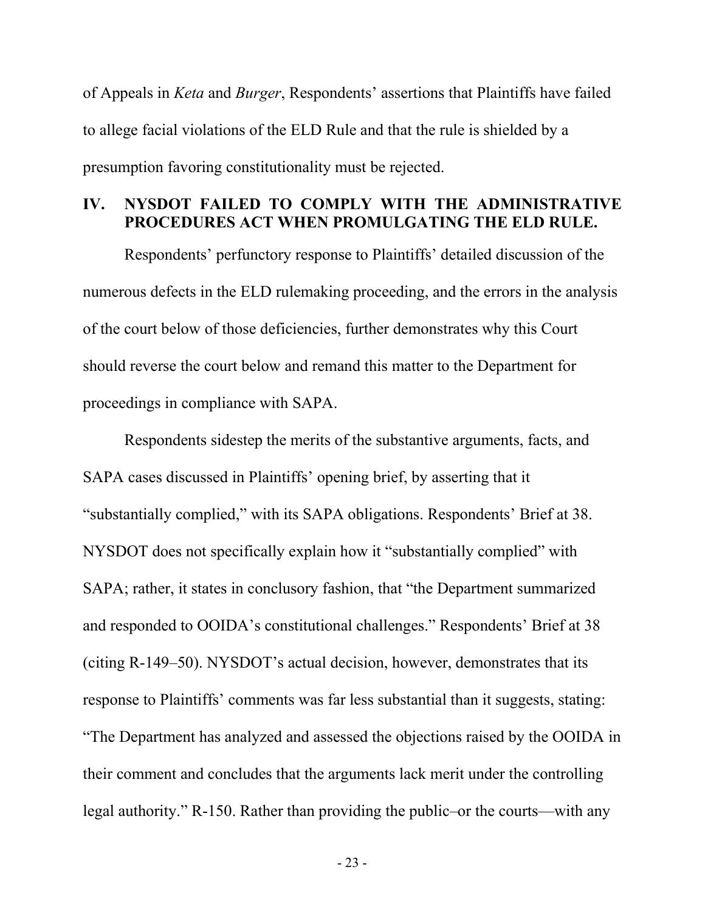of Appeals in *Keta* and *Burger*, Respondents' assertions that Plaintiffs have failed to allege facial violations of the ELD Rule and that the rule is shielded by a presumption favoring constitutionality must be rejected.

### <span id="page-28-0"></span>**IV. NYSDOT FAILED TO COMPLY WITH THE ADMINISTRATIVE PROCEDURES ACT WHEN PROMULGATING THE ELD RULE.**

Respondents' perfunctory response to Plaintiffs' detailed discussion of the numerous defects in the ELD rulemaking proceeding, and the errors in the analysis of the court below of those deficiencies, further demonstrates why this Court should reverse the court below and remand this matter to the Department for proceedings in compliance with SAPA.

Respondents sidestep the merits of the substantive arguments, facts, and SAPA cases discussed in Plaintiffs' opening brief, by asserting that it "substantially complied," with its SAPA obligations. Respondents' Brief at 38. NYSDOT does not specifically explain how it "substantially complied" with SAPA; rather, it states in conclusory fashion, that "the Department summarized and responded to OOIDA's constitutional challenges." Respondents' Brief at 38 (citing R-149–50). NYSDOT's actual decision, however, demonstrates that its response to Plaintiffs' comments was far less substantial than it suggests, stating: "The Department has analyzed and assessed the objections raised by the OOIDA in their comment and concludes that the arguments lack merit under the controlling legal authority." R-150. Rather than providing the public–or the courts—with any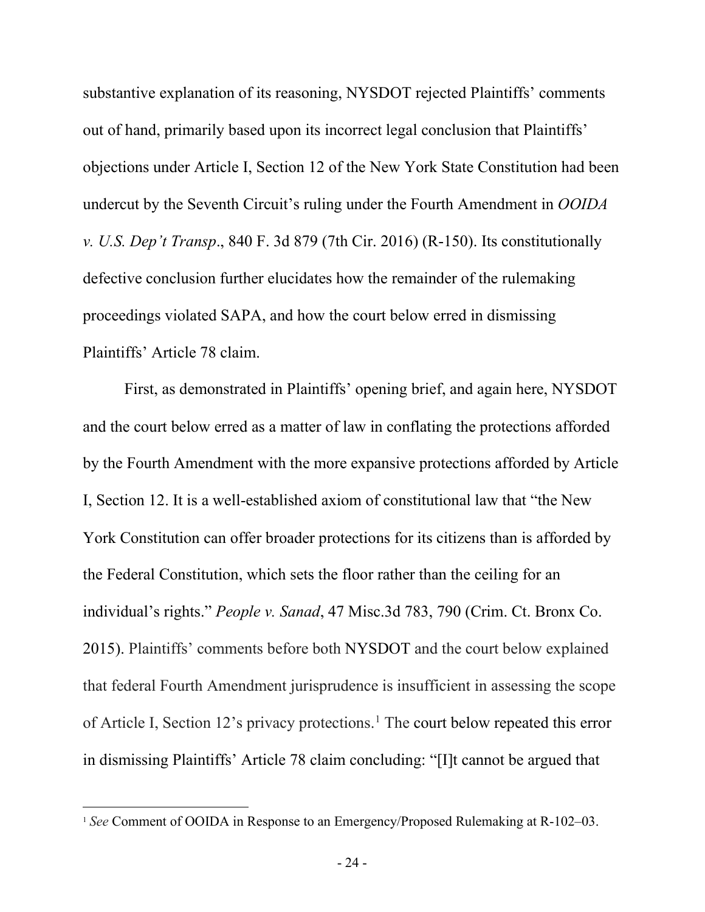substantive explanation of its reasoning, NYSDOT rejected Plaintiffs' comments out of hand, primarily based upon its incorrect legal conclusion that Plaintiffs' objections under Article I, Section 12 of the New York State Constitution had been undercut by the Seventh Circuit's ruling under the Fourth Amendment in *OOIDA v. U.S. Dep't Transp*., 840 F. 3d 879 (7th Cir. 2016) (R-150). Its constitutionally defective conclusion further elucidates how the remainder of the rulemaking proceedings violated SAPA, and how the court below erred in dismissing Plaintiffs' Article 78 claim.

First, as demonstrated in Plaintiffs' opening brief, and again here, NYSDOT and the court below erred as a matter of law in conflating the protections afforded by the Fourth Amendment with the more expansive protections afforded by Article I, Section 12. It is a well-established axiom of constitutional law that "the New York Constitution can offer broader protections for its citizens than is afforded by the Federal Constitution, which sets the floor rather than the ceiling for an individual's rights." *People v. Sanad*, 47 Misc.3d 783, 790 (Crim. Ct. Bronx Co. 2015). Plaintiffs' comments before both NYSDOT and the court below explained that federal Fourth Amendment jurisprudence is insufficient in assessing the scope of Article I, Section 12's privacy protections. [1](#page-29-0) The court below repeated this error in dismissing Plaintiffs' Article 78 claim concluding: "[I]t cannot be argued that

<span id="page-29-0"></span><sup>&</sup>lt;sup>1</sup> *See* Comment of OOIDA in Response to an Emergency/Proposed Rulemaking at R-102–03.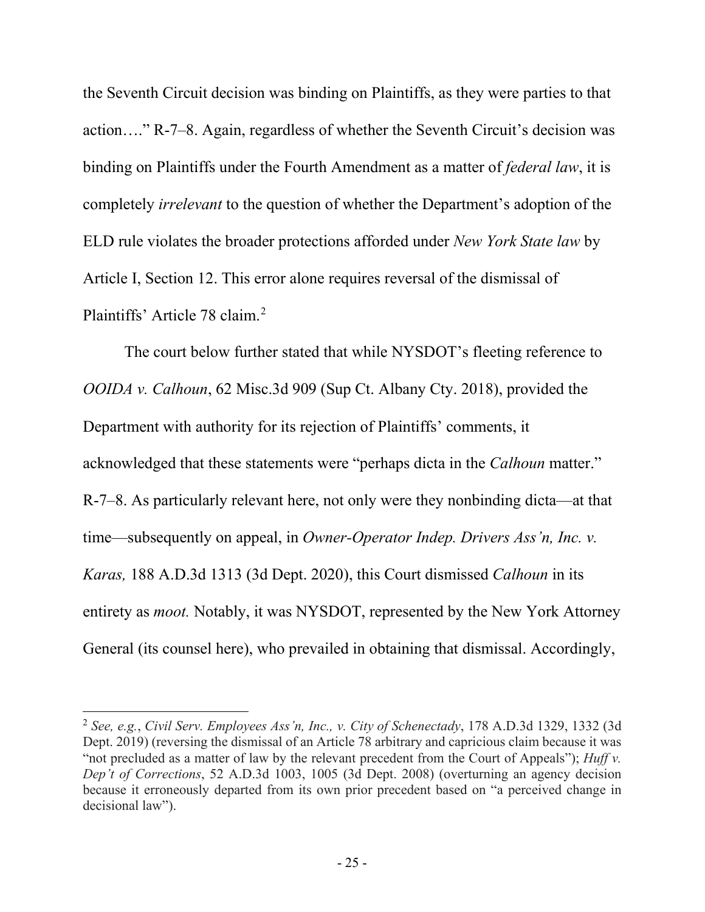the Seventh Circuit decision was binding on Plaintiffs, as they were parties to that action…." R-7–8. Again, regardless of whether the Seventh Circuit's decision was binding on Plaintiffs under the Fourth Amendment as a matter of *federal law*, it is completely *irrelevant* to the question of whether the Department's adoption of the ELD rule violates the broader protections afforded under *New York State law* by Article I, Section 12. This error alone requires reversal of the dismissal of Plaintiffs' Article 78 claim.<sup>[2](#page-30-0)</sup>

The court below further stated that while NYSDOT's fleeting reference to *OOIDA v. Calhoun*, 62 Misc.3d 909 (Sup Ct. Albany Cty. 2018), provided the Department with authority for its rejection of Plaintiffs' comments, it acknowledged that these statements were "perhaps dicta in the *Calhoun* matter." R-7–8. As particularly relevant here, not only were they nonbinding dicta—at that time—subsequently on appeal, in *Owner-Operator Indep. Drivers Ass'n, Inc. v. Karas,* 188 A.D.3d 1313 (3d Dept. 2020), this Court dismissed *Calhoun* in its entirety as *moot.* Notably, it was NYSDOT, represented by the New York Attorney General (its counsel here), who prevailed in obtaining that dismissal. Accordingly,

<span id="page-30-0"></span><sup>2</sup> *See, e.g.*, *Civil Serv. Employees Ass'n, Inc., v. City of Schenectady*, 178 A.D.3d 1329, 1332 (3d Dept. 2019) (reversing the dismissal of an Article 78 arbitrary and capricious claim because it was "not precluded as a matter of law by the relevant precedent from the Court of Appeals"); *Huff v. Dep't of Corrections*, 52 A.D.3d 1003, 1005 (3d Dept. 2008) (overturning an agency decision because it erroneously departed from its own prior precedent based on "a perceived change in decisional law").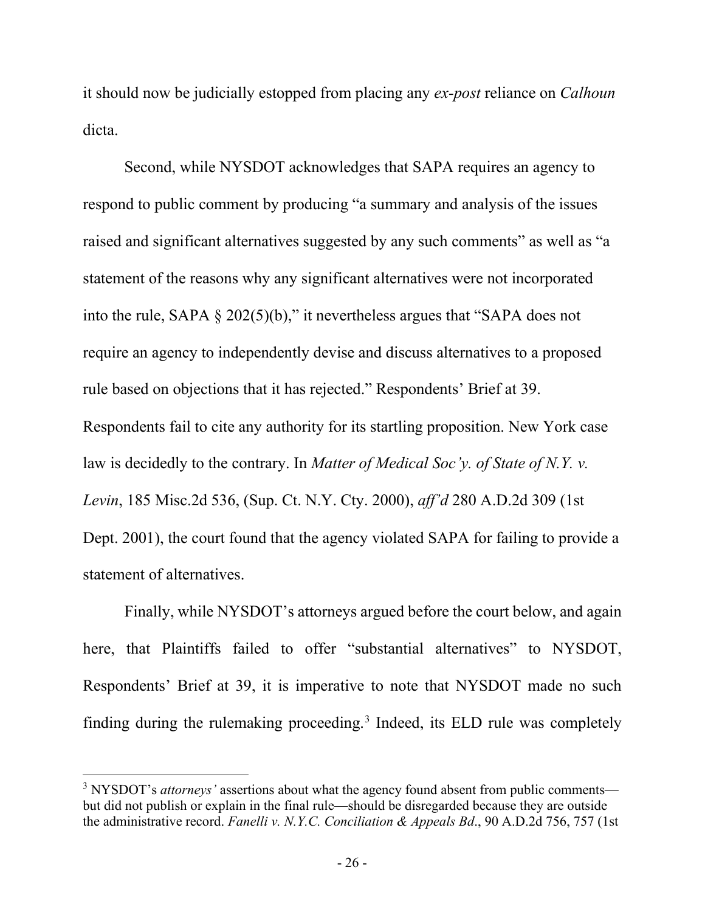it should now be judicially estopped from placing any *ex-post* reliance on *Calhoun*  dicta.

Second, while NYSDOT acknowledges that SAPA requires an agency to respond to public comment by producing "a summary and analysis of the issues raised and significant alternatives suggested by any such comments" as well as "a statement of the reasons why any significant alternatives were not incorporated into the rule, SAPA § 202(5)(b)," it nevertheless argues that "SAPA does not require an agency to independently devise and discuss alternatives to a proposed rule based on objections that it has rejected." Respondents' Brief at 39. Respondents fail to cite any authority for its startling proposition. New York case law is decidedly to the contrary. In *[Matter of Medical Soc'y. of State of N.Y. v.](http://www.westlaw.com/Link/Document/FullText?findType=Y&serNum=2000503830&pubNum=0000602&originatingDoc=I0265129cd9fa11d983e7e9deff98dc6f&refType=RP&originationContext=document&vr=3.0&rs=cblt1.0&transitionType=DocumentItem&contextData=(sc.Keycite))  Levin*, [185 Misc.2d 536, \(Sup.](http://www.westlaw.com/Link/Document/FullText?findType=Y&serNum=2000503830&pubNum=0000602&originatingDoc=I0265129cd9fa11d983e7e9deff98dc6f&refType=RP&originationContext=document&vr=3.0&rs=cblt1.0&transitionType=DocumentItem&contextData=(sc.Keycite)) Ct. N.Y. Cty. 2000), *aff'd* [280 A.D.2d 309 \(1st](http://www.westlaw.com/Link/Document/FullText?findType=Y&serNum=2001126636&pubNum=0000602&originatingDoc=I0265129cd9fa11d983e7e9deff98dc6f&refType=RP&originationContext=document&vr=3.0&rs=cblt1.0&transitionType=DocumentItem&contextData=(sc.Keycite))  Dept. [2001\),](http://www.westlaw.com/Link/Document/FullText?findType=Y&serNum=2001126636&pubNum=0000602&originatingDoc=I0265129cd9fa11d983e7e9deff98dc6f&refType=RP&originationContext=document&vr=3.0&rs=cblt1.0&transitionType=DocumentItem&contextData=(sc.Keycite)) the court found that the agency violated SAPA for failing to provide a statement of alternatives.

Finally, while NYSDOT's attorneys argued before the court below, and again here, that Plaintiffs failed to offer "substantial alternatives" to NYSDOT, Respondents' Brief at 39, it is imperative to note that NYSDOT made no such finding during the rulemaking proceeding.<sup>[3](#page-31-0)</sup> Indeed, its ELD rule was completely

<span id="page-31-0"></span><sup>&</sup>lt;sup>3</sup> NYSDOT's *attorneys'* assertions about what the agency found absent from public comments but did not publish or explain in the final rule—should be disregarded because they are outside the administrative record. *Fanelli v. N.Y.C. Conciliation & Appeals Bd*., 90 A.D.2d 756, 757 (1st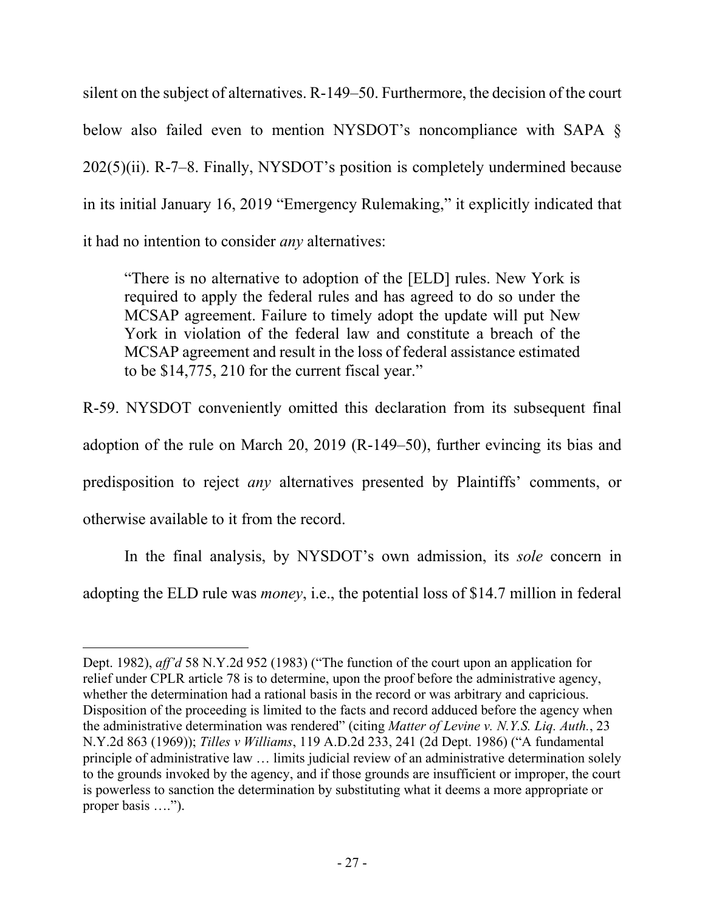silent on the subject of alternatives. R-149–50. Furthermore, the decision of the court below also failed even to mention NYSDOT's noncompliance with SAPA § 202(5)(ii). R-7–8. Finally, NYSDOT's position is completely undermined because in its initial January 16, 2019 "Emergency Rulemaking," it explicitly indicated that it had no intention to consider *any* alternatives:

"There is no alternative to adoption of the [ELD] rules. New York is required to apply the federal rules and has agreed to do so under the MCSAP agreement. Failure to timely adopt the update will put New York in violation of the federal law and constitute a breach of the MCSAP agreement and result in the loss of federal assistance estimated to be \$14,775, 210 for the current fiscal year."

R-59. NYSDOT conveniently omitted this declaration from its subsequent final adoption of the rule on March 20, 2019 (R-149–50), further evincing its bias and predisposition to reject *any* alternatives presented by Plaintiffs' comments, or otherwise available to it from the record.

In the final analysis, by NYSDOT's own admission, its *sole* concern in adopting the ELD rule was *money*, i.e., the potential loss of \$14.7 million in federal

Dept. 1982), *aff'd* 58 N.Y.2d 952 (1983) ("The function of the court upon an application for relief under CPLR article 78 is to determine, upon the proof before the administrative agency, whether the determination had a rational basis in the record or was arbitrary and capricious. Disposition of the proceeding is limited to the facts and record adduced before the agency when the administrative determination was rendered" (citing *Matter of Levine v. N.Y.S. Liq. Auth.*, 23 N.Y.2d 863 (1969)); *Tilles v Williams*, 119 A.D.2d 233, 241 (2d Dept. 1986) ("A fundamental principle of administrative law … limits judicial review of an administrative determination solely to the grounds invoked by the agency, and if those grounds are insufficient or improper, the court is powerless to sanction the determination by substituting what it deems a more appropriate or proper basis ….").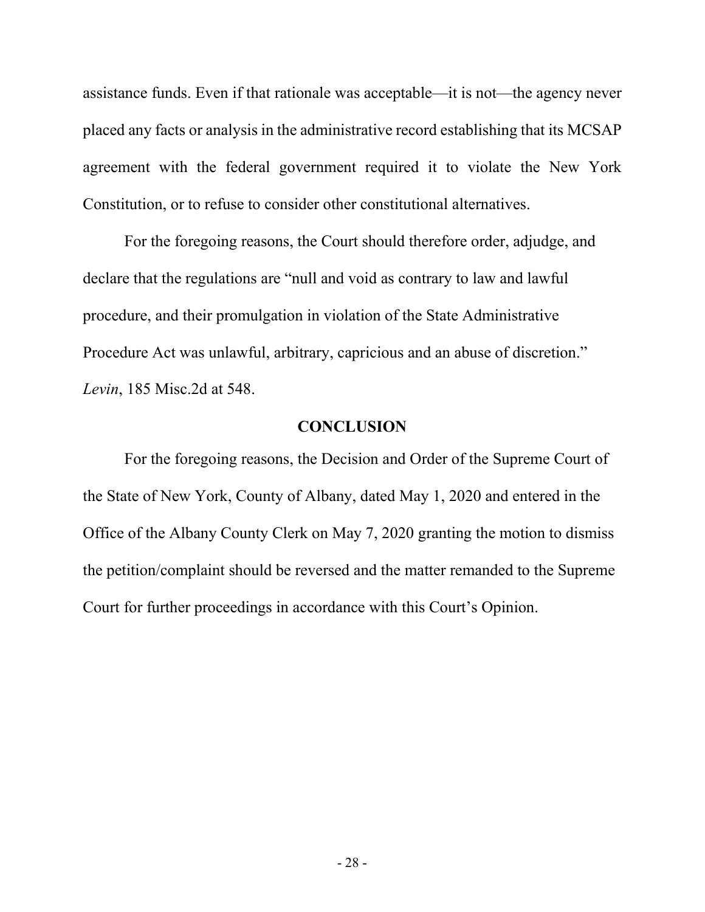assistance funds. Even if that rationale was acceptable—it is not—the agency never placed any facts or analysis in the administrative record establishing that its MCSAP agreement with the federal government required it to violate the New York Constitution, or to refuse to consider other constitutional alternatives.

For the foregoing reasons, the Court should therefore order, adjudge, and declare that the regulations are "null and void as contrary to law and lawful procedure, and their promulgation in violation of the State Administrative Procedure Act was unlawful, arbitrary, capricious and an abuse of discretion." *Levin*, 185 Misc.2d at 548.

#### **CONCLUSION**

<span id="page-33-0"></span>For the foregoing reasons, the Decision and Order of the Supreme Court of the State of New York, County of Albany, dated May 1, 2020 and entered in the Office of the Albany County Clerk on May 7, 2020 granting the motion to dismiss the petition/complaint should be reversed and the matter remanded to the Supreme Court for further proceedings in accordance with this Court's Opinion.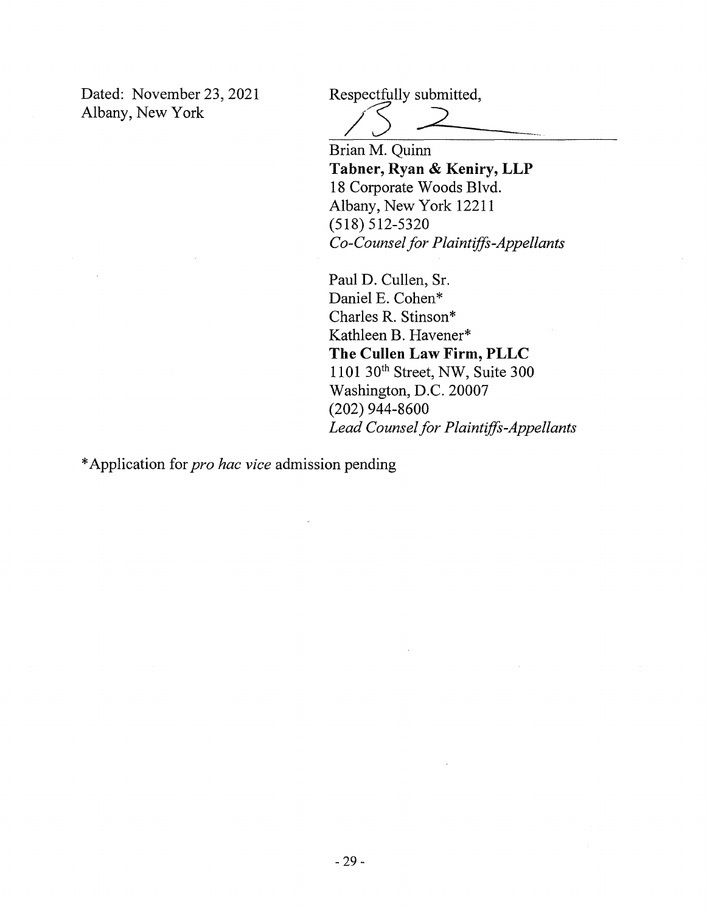Dated: November 23, 2021 Albany, New York

Respectfully submitted,

Brian M. Quinn

**Tabner, Ryan & Keniry, LLP**  18 Corporate Woods Blvd. Albany, New York 12211 (518) 512-5320 *Co-Counsel for Plaintiffs-Appellants* 

Paul D. Cullen, Sr. Daniel E. Cohen\* Charles R. Stinson\* Kathleen B. Havener\* **The Cullen Law Firm, PLLC**  1101 30th Street, NW, Suite 300 Washington, D.C. 20007 (202) 944-8600 *Lead Counsel for Plaintiffs-Appellants* 

\* Application for *pro hac vice* admission pending